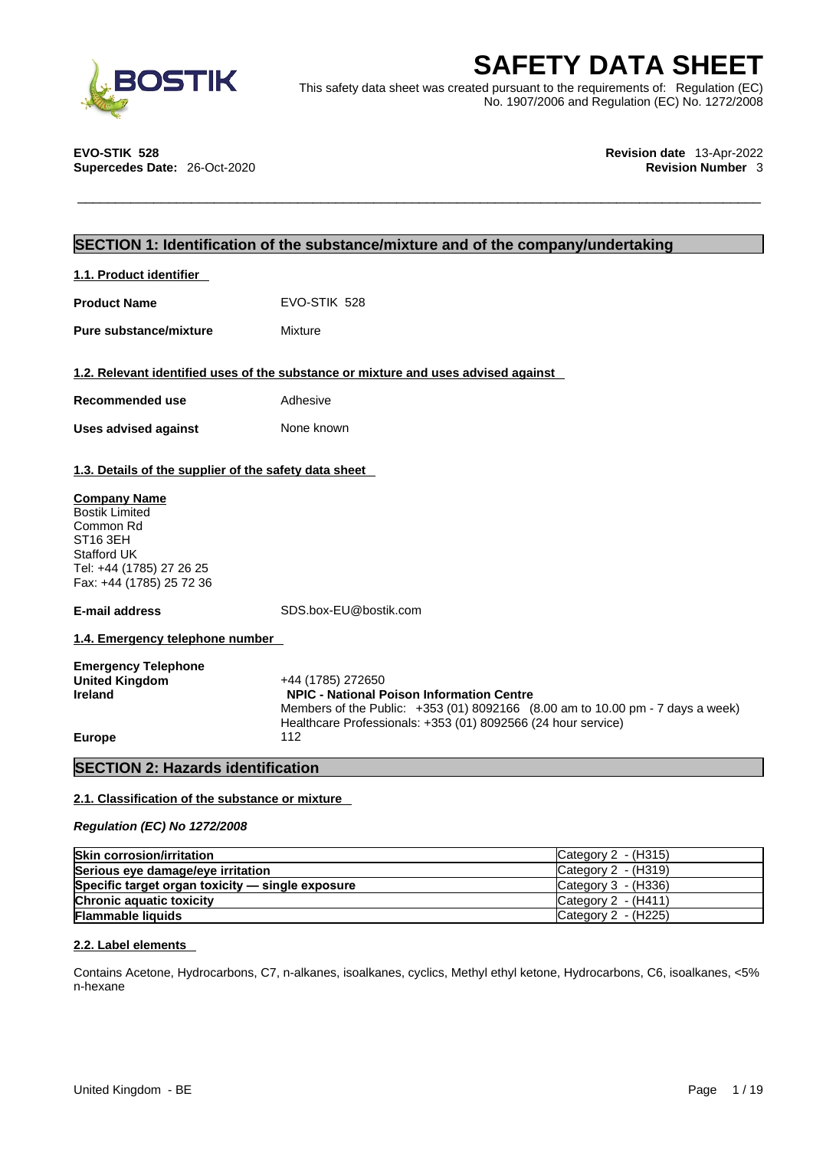

**SAFETY DATA SHEET**<br>
This safety data sheet was created pursuant to the requirements of: Regulation (EC)<br>
No. 1907/2006 and Regulation (EC) No. 1272/2008<br>
EVO-STIK 528<br>
Revision date 13-Apr-2022<br>
Revision Number 3 This safety data sheet was created pursuant to the requirements of: Regulation (EC) No. 1907/2006 and Regulation (EC) No. 1272/2008

**EVO-STIK 528 Revision date** 13-Apr-2022

# **Supercedes Date:** 26-Oct-2020 **Revision Number** 3

# **SECTION 1: Identification of the substance/mixture and of the company/undertaking**

| 1.1. Product identifier |
|-------------------------|
|-------------------------|

**Product Name** EVO-STIK 528

**Pure substance/mixture** Mixture

## **1.2. Relevant identified uses of the substance or mixture and uses advised against**

| Recommended use             | Adhesive   |
|-----------------------------|------------|
| <b>Uses advised against</b> | None known |

## **1.3. Details of the supplier of the safety data sheet**

### **Company Name**

Bostik Limited Common Rd ST16 3EH Stafford UK Tel: +44 (1785) 27 26 25 Fax: +44 (1785) 25 72 36

**E-mail address** SDS.box-EU@bostik.com

**1.4. Emergency telephone number** 

| <b>Emergency Telephone</b> |                                                                                |
|----------------------------|--------------------------------------------------------------------------------|
| United Kingdom             | +44 (1785) 272650                                                              |
| Ireland                    | <b>NPIC - National Poison Information Centre</b>                               |
|                            | Members of the Public: +353 (01) 8092166 (8.00 am to 10.00 pm - 7 days a week) |
|                            | Healthcare Professionals: +353 (01) 8092566 (24 hour service)                  |
| <b>Europe</b>              | 112                                                                            |

# **SECTION 2: Hazards identification**

## **2.1. Classification of the substance or mixture**

*Regulation (EC) No 1272/2008* 

| <b>Skin corrosion/irritation</b>                 | Category 2 - (H315)   |
|--------------------------------------------------|-----------------------|
| Serious eye damage/eye irritation                | Category $2 - (H319)$ |
| Specific target organ toxicity - single exposure | Category $3 - (H336)$ |
| <b>Chronic aquatic toxicity</b>                  | ICategory 2 - (H411)  |
| <b>Flammable liquids</b>                         | Category $2 - (H225)$ |

### **2.2. Label elements**

Contains Acetone,Hydrocarbons, C7, n-alkanes, isoalkanes, cyclics, Methyl ethyl ketone, Hydrocarbons, C6, isoalkanes, <5% n-hexane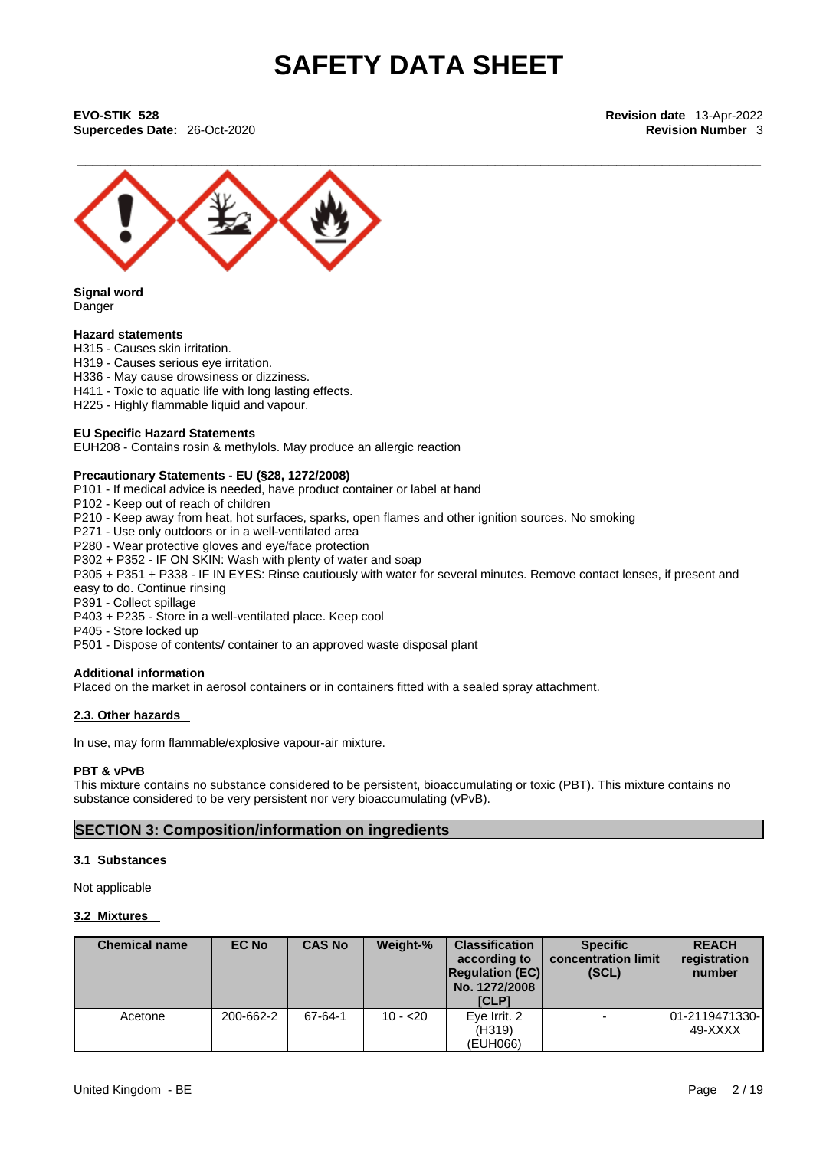\_\_\_\_\_\_\_\_\_\_\_\_\_\_\_\_\_\_\_\_\_\_\_\_\_\_\_\_\_\_\_\_\_\_\_\_\_\_\_\_\_\_\_\_\_\_\_\_\_\_\_\_\_\_\_\_\_\_\_\_\_\_\_\_\_\_\_\_\_\_\_\_\_\_\_\_\_\_\_\_\_\_\_\_\_\_\_\_\_\_ **EVO-STIK 528 Revision date** 13-Apr-2022 **Supercedes Date:** 26-Oct-2020 **Revision Number** 3



**Signal word** Danger

### **Hazard statements**

H315 - Causes skin irritation.

- H319 Causes serious eye irritation.
- H336 May cause drowsiness or dizziness.
- H411 Toxic to aquatic life with long lasting effects.
- H225 Highly flammable liquid and vapour.

#### **EU Specific Hazard Statements**

EUH208 - Contains rosin & methylols. May produce an allergic reaction

# **Precautionary Statements - EU (§28, 1272/2008)**

P101 - If medical advice is needed, have product container or label at hand

- P102 Keep out of reach of children
- P210 Keep away from heat, hot surfaces, sparks, open flames and other ignition sources. No smoking
- P271 Use only outdoors or in a well-ventilated area
- P280 Wear protective gloves and eye/face protection
- P302 + P352 IF ON SKIN: Wash with plenty of water and soap

P305 + P351 + P338 - IF IN EYES: Rinse cautiously with water for several minutes. Remove contact lenses, if present and easy to do. Continue rinsing

P391 - Collect spillage

P403 + P235 - Store in a well-ventilated place. Keep cool

P405 - Store locked up

P501 - Dispose of contents/ container to an approved waste disposal plant

### **Additional information**

Placed on the market in aerosol containers or in containers fitted with a sealed spray attachment.

### **2.3. Other hazards**

In use, may form flammable/explosive vapour-air mixture.

### **PBT & vPvB**

This mixture contains no substance considered to be persistent, bioaccumulating or toxic (PBT). This mixture contains no substance considered to be very persistent nor very bioaccumulating (vPvB).

### **SECTION 3: Composition/information on ingredients**

#### **3.1 Substances**

Not applicable

### **3.2 Mixtures**

| <b>Chemical name</b> | <b>EC No</b> | <b>CAS No</b> | Weight-%  | <b>Classification</b><br>according to<br><b>Regulation (EC)</b><br>No. 1272/2008<br>[CLP] | <b>Specific</b><br>concentration limit<br>(SCL) | <b>REACH</b><br>registration<br>number |
|----------------------|--------------|---------------|-----------|-------------------------------------------------------------------------------------------|-------------------------------------------------|----------------------------------------|
| Acetone              | 200-662-2    | 67-64-1       | $10 - 20$ | Eye Irrit. 2<br>(H319)<br>(EUH066)                                                        |                                                 | 01-2119471330- <br>49-XXXX             |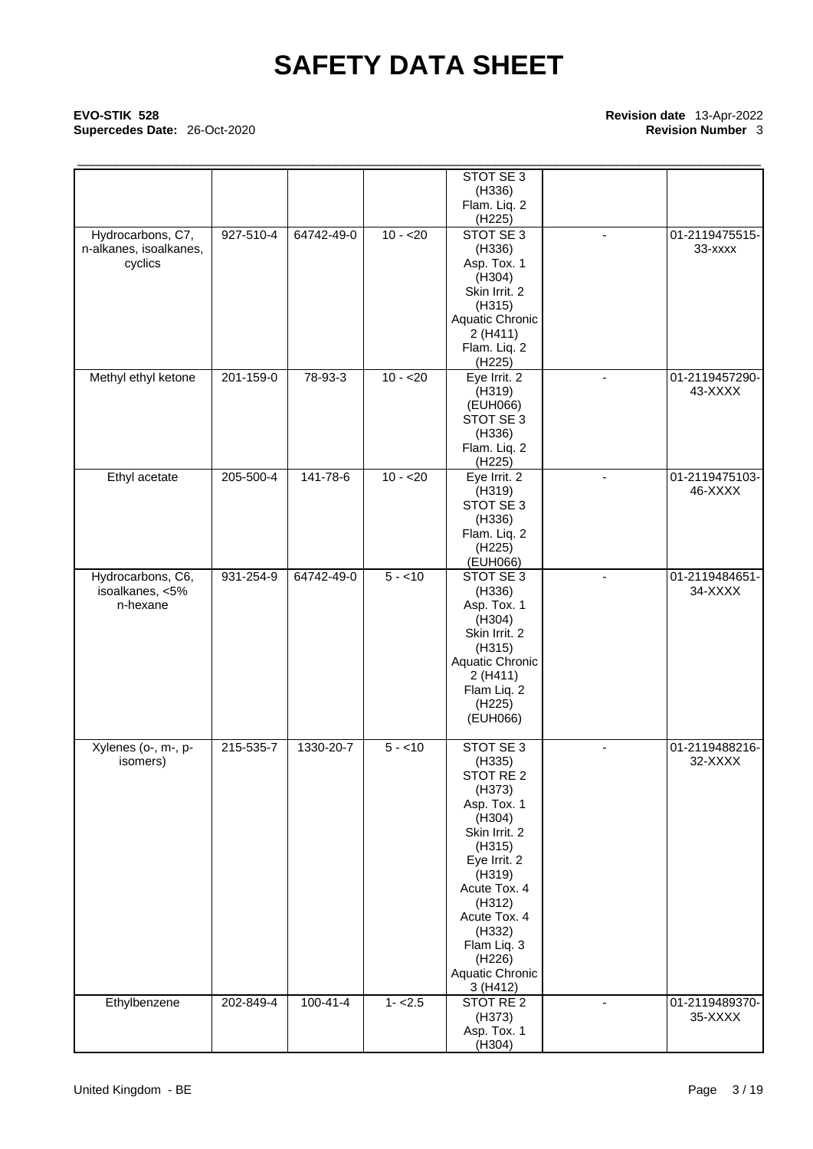# \_\_\_\_\_\_\_\_\_\_\_\_\_\_\_\_\_\_\_\_\_\_\_\_\_\_\_\_\_\_\_\_\_\_\_\_\_\_\_\_\_\_\_\_\_\_\_\_\_\_\_\_\_\_\_\_\_\_\_\_\_\_\_\_\_\_\_\_\_\_\_\_\_\_\_\_\_\_\_\_\_\_\_\_\_\_\_\_\_\_ **EVO-STIK 528 Revision date** 13-Apr-2022 **Supercedes Date: 26-Oct-2020**

|                                   |                 |                |           | STOT SE 3                  |                          |                           |
|-----------------------------------|-----------------|----------------|-----------|----------------------------|--------------------------|---------------------------|
|                                   |                 |                |           | (H336)<br>Flam. Liq. 2     |                          |                           |
|                                   |                 |                |           | (H <sub>225</sub> )        |                          |                           |
| Hydrocarbons, C7,                 | 927-510-4       | 64742-49-0     | $10 - 20$ | STOT SE 3                  |                          | 01-2119475515-            |
| n-alkanes, isoalkanes,<br>cyclics |                 |                |           | (H336)<br>Asp. Tox. 1      |                          | 33-xxxx                   |
|                                   |                 |                |           | (H304)                     |                          |                           |
|                                   |                 |                |           | Skin Irrit. 2              |                          |                           |
|                                   |                 |                |           | (H315)<br>Aquatic Chronic  |                          |                           |
|                                   |                 |                |           | 2 (H411)                   |                          |                           |
|                                   |                 |                |           | Flam. Liq. 2               |                          |                           |
|                                   |                 |                | $10 - 20$ | (H225)                     |                          |                           |
| Methyl ethyl ketone               | 201-159-0       | 78-93-3        |           | Eye Irrit. 2<br>(H319)     | $\overline{\phantom{a}}$ | 01-2119457290-<br>43-XXXX |
|                                   |                 |                |           | (EUH066)                   |                          |                           |
|                                   |                 |                |           | STOT SE 3                  |                          |                           |
|                                   |                 |                |           | (H336)<br>Flam. Liq. 2     |                          |                           |
|                                   |                 |                |           | (H225)                     |                          |                           |
| Ethyl acetate                     | $205 - 500 - 4$ | 141-78-6       | $10 - 20$ | Eye Irrit. 2               |                          | 01-2119475103-            |
|                                   |                 |                |           | (H319)<br>STOT SE 3        |                          | 46-XXXX                   |
|                                   |                 |                |           | (H336)                     |                          |                           |
|                                   |                 |                |           | Flam. Liq. 2               |                          |                           |
|                                   |                 |                |           | (H225)<br>(EUH066)         |                          |                           |
| Hydrocarbons, C6,                 | 931-254-9       | 64742-49-0     | $5 - 10$  | STOT SE 3                  | $\blacksquare$           | 01-2119484651-            |
| isoalkanes, <5%                   |                 |                |           | (H336)                     |                          | 34-XXXX                   |
| n-hexane                          |                 |                |           | Asp. Tox. 1<br>(H304)      |                          |                           |
|                                   |                 |                |           | Skin Irrit. 2              |                          |                           |
|                                   |                 |                |           | (H315)                     |                          |                           |
|                                   |                 |                |           | Aquatic Chronic<br>2(H411) |                          |                           |
|                                   |                 |                |           | Flam Liq. 2                |                          |                           |
|                                   |                 |                |           | (H <sub>225</sub> )        |                          |                           |
|                                   |                 |                |           | (EUH066)                   |                          |                           |
| Xylenes (o-, m-, p-               | 215-535-7       | 1330-20-7      | $5 - 10$  | STOT SE 3                  | $\blacksquare$           | 01-2119488216-            |
| isomers)                          |                 |                |           | (H335)                     |                          | 32-XXXX                   |
|                                   |                 |                |           | STOT RE 2<br>(H373)        |                          |                           |
|                                   |                 |                |           | Asp. Tox. 1                |                          |                           |
|                                   |                 |                |           | (H304)                     |                          |                           |
|                                   |                 |                |           | Skin Irrit. 2<br>(H315)    |                          |                           |
|                                   |                 |                |           | Eye Irrit. 2               |                          |                           |
|                                   |                 |                |           | (H319)                     |                          |                           |
|                                   |                 |                |           | Acute Tox. 4               |                          |                           |
|                                   |                 |                |           | (H312)<br>Acute Tox. 4     |                          |                           |
|                                   |                 |                |           | (H332)                     |                          |                           |
|                                   |                 |                |           | Flam Liq. 3                |                          |                           |
|                                   |                 |                |           | (H226)<br>Aquatic Chronic  |                          |                           |
|                                   |                 |                |           | 3 (H412)                   |                          |                           |
| Ethylbenzene                      | 202-849-4       | $100 - 41 - 4$ | $1 - 2.5$ | STOT RE 2                  | $\overline{a}$           | 01-2119489370-            |
|                                   |                 |                |           | (H373)<br>Asp. Tox. 1      |                          | 35-XXXX                   |
|                                   |                 |                |           | (H304)                     |                          |                           |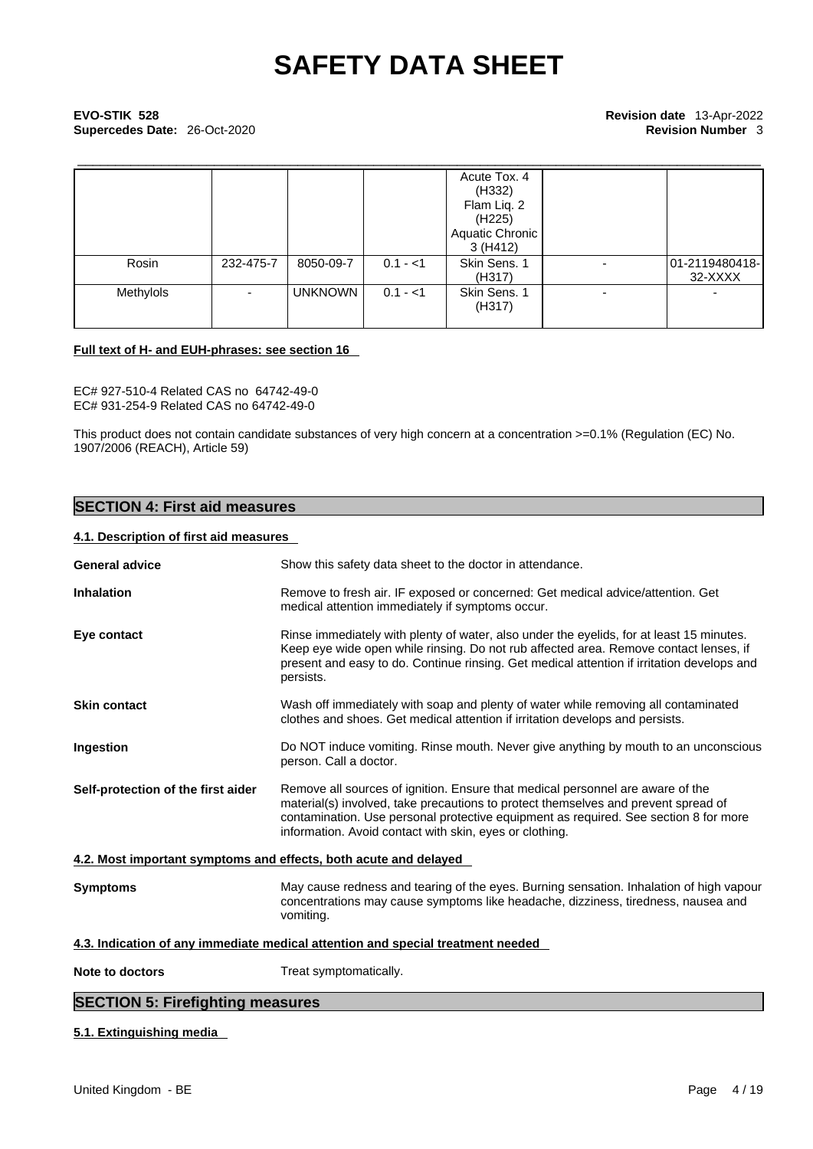# \_\_\_\_\_\_\_\_\_\_\_\_\_\_\_\_\_\_\_\_\_\_\_\_\_\_\_\_\_\_\_\_\_\_\_\_\_\_\_\_\_\_\_\_\_\_\_\_\_\_\_\_\_\_\_\_\_\_\_\_\_\_\_\_\_\_\_\_\_\_\_\_\_\_\_\_\_\_\_\_\_\_\_\_\_\_\_\_\_\_ **EVO-STIK 528 Revision date** 13-Apr-2022 **Supercedes Date:** 26-Oct-2020 **Revision Number** 3

|           |                          |                |           | Acute Tox. 4<br>(H332)<br>Flam Liq. 2<br>(H <sub>225</sub> )<br>Aquatic Chronic<br>3 (H412) |                          |                           |
|-----------|--------------------------|----------------|-----------|---------------------------------------------------------------------------------------------|--------------------------|---------------------------|
| Rosin     | 232-475-7                | 8050-09-7      | $0.1 - 1$ | Skin Sens. 1<br>(H317)                                                                      |                          | 01-2119480418-<br>32-XXXX |
| Methylols | $\overline{\phantom{a}}$ | <b>UNKNOWN</b> | $0.1 - 1$ | Skin Sens. 1<br>(H317)                                                                      | $\overline{\phantom{a}}$ |                           |

### **Full text of H- and EUH-phrases: see section 16**

EC# 927-510-4 Related CAS no 64742-49-0 EC# 931-254-9 Related CAS no 64742-49-0

This product does not contain candidate substances of very high concern at a concentration >=0.1% (Regulation (EC) No. 1907/2006 (REACH), Article 59)

# **SECTION 4: First aid measures**

# **4.1. Description of first aid measures**

| <b>General advice</b>                   | Show this safety data sheet to the doctor in attendance.                                                                                                                                                                                                                                                                |
|-----------------------------------------|-------------------------------------------------------------------------------------------------------------------------------------------------------------------------------------------------------------------------------------------------------------------------------------------------------------------------|
| <b>Inhalation</b>                       | Remove to fresh air. IF exposed or concerned: Get medical advice/attention. Get<br>medical attention immediately if symptoms occur.                                                                                                                                                                                     |
| Eye contact                             | Rinse immediately with plenty of water, also under the eyelids, for at least 15 minutes.<br>Keep eye wide open while rinsing. Do not rub affected area. Remove contact lenses, if<br>present and easy to do. Continue rinsing. Get medical attention if irritation develops and<br>persists.                            |
| <b>Skin contact</b>                     | Wash off immediately with soap and plenty of water while removing all contaminated<br>clothes and shoes. Get medical attention if irritation develops and persists.                                                                                                                                                     |
| Ingestion                               | Do NOT induce vomiting. Rinse mouth. Never give anything by mouth to an unconscious<br>person. Call a doctor.                                                                                                                                                                                                           |
| Self-protection of the first aider      | Remove all sources of ignition. Ensure that medical personnel are aware of the<br>material(s) involved, take precautions to protect themselves and prevent spread of<br>contamination. Use personal protective equipment as required. See section 8 for more<br>information. Avoid contact with skin, eyes or clothing. |
|                                         | 4.2. Most important symptoms and effects, both acute and delayed                                                                                                                                                                                                                                                        |
| <b>Symptoms</b>                         | May cause redness and tearing of the eyes. Burning sensation. Inhalation of high vapour<br>concentrations may cause symptoms like headache, dizziness, tiredness, nausea and<br>vomiting.                                                                                                                               |
|                                         | 4.3. Indication of any immediate medical attention and special treatment needed                                                                                                                                                                                                                                         |
| Note to doctors                         | Treat symptomatically.                                                                                                                                                                                                                                                                                                  |
| <b>SECTION 5: Firefighting measures</b> |                                                                                                                                                                                                                                                                                                                         |
|                                         |                                                                                                                                                                                                                                                                                                                         |

## **5.1. Extinguishing media**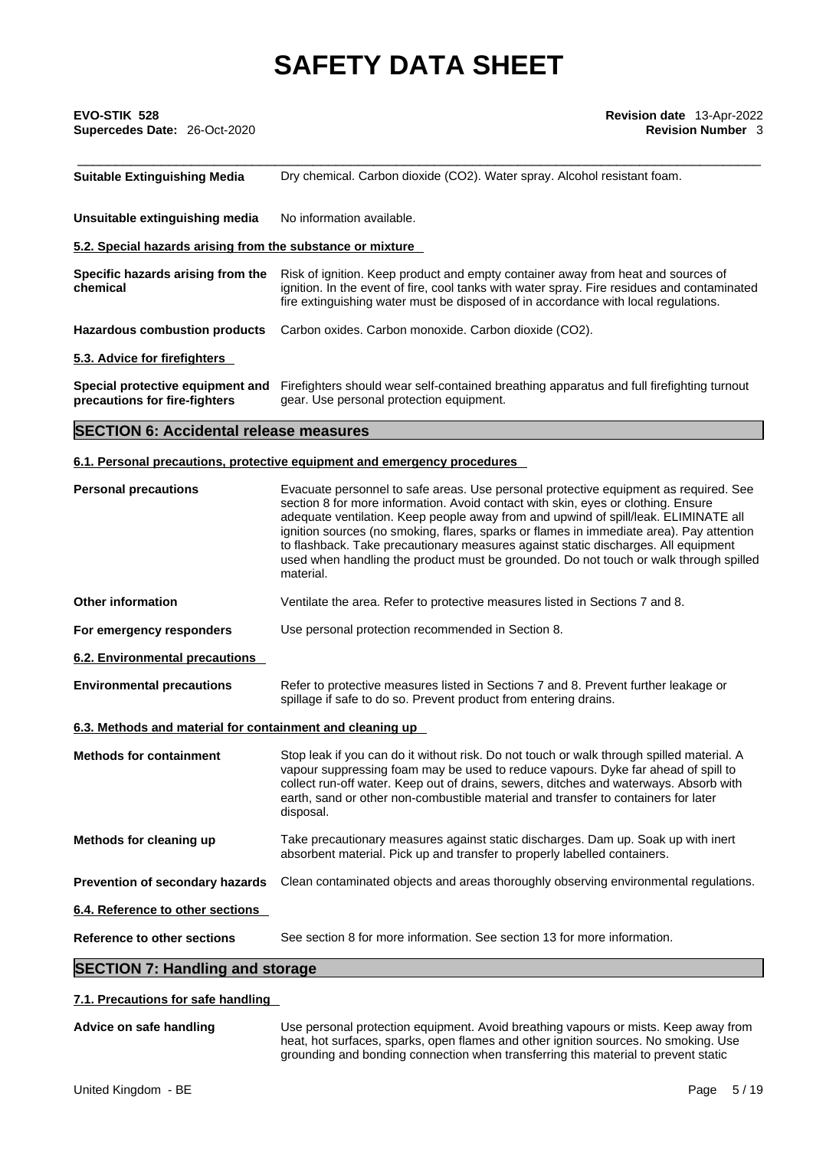| EVO-STIK 528<br>Supercedes Date: 26-Oct-2020                                                                                                                                                                                                                                                                           | Revision date 13-Apr-2022<br><b>Revision Number 3</b>                                                                                                                                                                                                                                                                                                                                                                                                                                                                                                    |  |  |
|------------------------------------------------------------------------------------------------------------------------------------------------------------------------------------------------------------------------------------------------------------------------------------------------------------------------|----------------------------------------------------------------------------------------------------------------------------------------------------------------------------------------------------------------------------------------------------------------------------------------------------------------------------------------------------------------------------------------------------------------------------------------------------------------------------------------------------------------------------------------------------------|--|--|
| <b>Suitable Extinguishing Media</b>                                                                                                                                                                                                                                                                                    | Dry chemical. Carbon dioxide (CO2). Water spray. Alcohol resistant foam.                                                                                                                                                                                                                                                                                                                                                                                                                                                                                 |  |  |
| Unsuitable extinguishing media                                                                                                                                                                                                                                                                                         | No information available.                                                                                                                                                                                                                                                                                                                                                                                                                                                                                                                                |  |  |
| 5.2. Special hazards arising from the substance or mixture                                                                                                                                                                                                                                                             |                                                                                                                                                                                                                                                                                                                                                                                                                                                                                                                                                          |  |  |
| Specific hazards arising from the<br>Risk of ignition. Keep product and empty container away from heat and sources of<br>ignition. In the event of fire, cool tanks with water spray. Fire residues and contaminated<br>chemical<br>fire extinguishing water must be disposed of in accordance with local regulations. |                                                                                                                                                                                                                                                                                                                                                                                                                                                                                                                                                          |  |  |
| <b>Hazardous combustion products</b>                                                                                                                                                                                                                                                                                   | Carbon oxides. Carbon monoxide. Carbon dioxide (CO2).                                                                                                                                                                                                                                                                                                                                                                                                                                                                                                    |  |  |
| 5.3. Advice for firefighters                                                                                                                                                                                                                                                                                           |                                                                                                                                                                                                                                                                                                                                                                                                                                                                                                                                                          |  |  |
| Special protective equipment and<br>precautions for fire-fighters                                                                                                                                                                                                                                                      | Firefighters should wear self-contained breathing apparatus and full firefighting turnout<br>gear. Use personal protection equipment.                                                                                                                                                                                                                                                                                                                                                                                                                    |  |  |
| <b>SECTION 6: Accidental release measures</b>                                                                                                                                                                                                                                                                          |                                                                                                                                                                                                                                                                                                                                                                                                                                                                                                                                                          |  |  |
|                                                                                                                                                                                                                                                                                                                        | 6.1. Personal precautions, protective equipment and emergency procedures                                                                                                                                                                                                                                                                                                                                                                                                                                                                                 |  |  |
| <b>Personal precautions</b>                                                                                                                                                                                                                                                                                            | Evacuate personnel to safe areas. Use personal protective equipment as required. See<br>section 8 for more information. Avoid contact with skin, eyes or clothing. Ensure<br>adequate ventilation. Keep people away from and upwind of spill/leak. ELIMINATE all<br>ignition sources (no smoking, flares, sparks or flames in immediate area). Pay attention<br>to flashback. Take precautionary measures against static discharges. All equipment<br>used when handling the product must be grounded. Do not touch or walk through spilled<br>material. |  |  |
| <b>Other information</b>                                                                                                                                                                                                                                                                                               | Ventilate the area. Refer to protective measures listed in Sections 7 and 8.                                                                                                                                                                                                                                                                                                                                                                                                                                                                             |  |  |
| For emergency responders                                                                                                                                                                                                                                                                                               | Use personal protection recommended in Section 8.                                                                                                                                                                                                                                                                                                                                                                                                                                                                                                        |  |  |
| 6.2. Environmental precautions                                                                                                                                                                                                                                                                                         |                                                                                                                                                                                                                                                                                                                                                                                                                                                                                                                                                          |  |  |
| <b>Environmental precautions</b>                                                                                                                                                                                                                                                                                       | Refer to protective measures listed in Sections 7 and 8. Prevent further leakage or<br>spillage if safe to do so. Prevent product from entering drains.                                                                                                                                                                                                                                                                                                                                                                                                  |  |  |
| 6.3. Methods and material for containment and cleaning up                                                                                                                                                                                                                                                              |                                                                                                                                                                                                                                                                                                                                                                                                                                                                                                                                                          |  |  |
| <b>Methods for containment</b>                                                                                                                                                                                                                                                                                         | Stop leak if you can do it without risk. Do not touch or walk through spilled material. A<br>vapour suppressing foam may be used to reduce vapours. Dyke far ahead of spill to<br>collect run-off water. Keep out of drains, sewers, ditches and waterways. Absorb with<br>earth, sand or other non-combustible material and transfer to containers for later<br>disposal.                                                                                                                                                                               |  |  |
| Methods for cleaning up                                                                                                                                                                                                                                                                                                | Take precautionary measures against static discharges. Dam up. Soak up with inert<br>absorbent material. Pick up and transfer to properly labelled containers.                                                                                                                                                                                                                                                                                                                                                                                           |  |  |
| Prevention of secondary hazards                                                                                                                                                                                                                                                                                        | Clean contaminated objects and areas thoroughly observing environmental regulations.                                                                                                                                                                                                                                                                                                                                                                                                                                                                     |  |  |
| 6.4. Reference to other sections                                                                                                                                                                                                                                                                                       |                                                                                                                                                                                                                                                                                                                                                                                                                                                                                                                                                          |  |  |
| Reference to other sections                                                                                                                                                                                                                                                                                            | See section 8 for more information. See section 13 for more information.                                                                                                                                                                                                                                                                                                                                                                                                                                                                                 |  |  |
| <b>SECTION 7: Handling and storage</b>                                                                                                                                                                                                                                                                                 |                                                                                                                                                                                                                                                                                                                                                                                                                                                                                                                                                          |  |  |

# **7.1. Precautions for safe handling**

**Advice on safe handling** Use personal protection equipment. Avoid breathing vapours or mists. Keep away from heat, hot surfaces, sparks, open flames and other ignition sources. No smoking. Use grounding and bonding connection when transferring this material to prevent static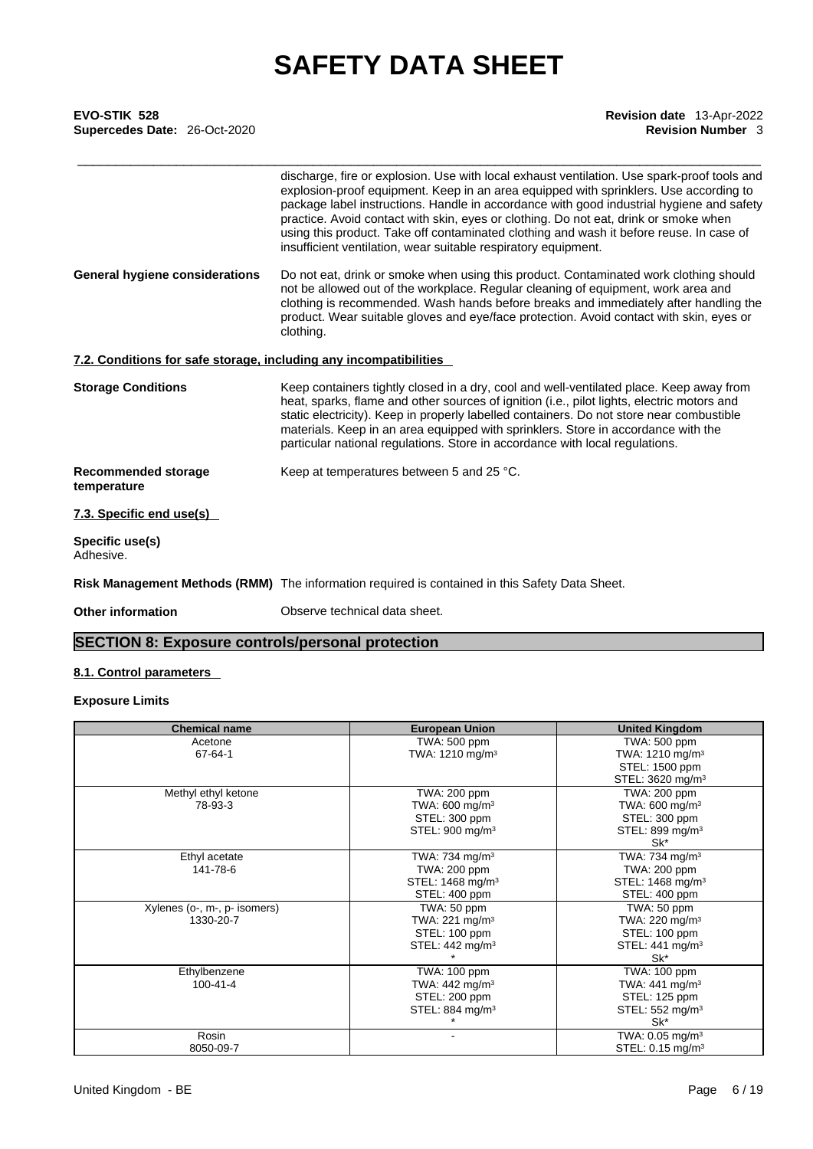| <b>Revision date</b> 13-Apr-2022 |
|----------------------------------|
| <b>Revision Number 3</b>         |
|                                  |
|                                  |
|                                  |

|                                                                   | discharge, fire or explosion. Use with local exhaust ventilation. Use spark-proof tools and<br>explosion-proof equipment. Keep in an area equipped with sprinklers. Use according to<br>package label instructions. Handle in accordance with good industrial hygiene and safety<br>practice. Avoid contact with skin, eyes or clothing. Do not eat, drink or smoke when<br>using this product. Take off contaminated clothing and wash it before reuse. In case of<br>insufficient ventilation, wear suitable respiratory equipment. |
|-------------------------------------------------------------------|---------------------------------------------------------------------------------------------------------------------------------------------------------------------------------------------------------------------------------------------------------------------------------------------------------------------------------------------------------------------------------------------------------------------------------------------------------------------------------------------------------------------------------------|
| General hygiene considerations                                    | Do not eat, drink or smoke when using this product. Contaminated work clothing should<br>not be allowed out of the workplace. Regular cleaning of equipment, work area and<br>clothing is recommended. Wash hands before breaks and immediately after handling the<br>product. Wear suitable gloves and eye/face protection. Avoid contact with skin, eyes or<br>clothing.                                                                                                                                                            |
| 7.2. Conditions for safe storage, including any incompatibilities |                                                                                                                                                                                                                                                                                                                                                                                                                                                                                                                                       |
| <b>Storage Conditions</b>                                         | Keep containers tightly closed in a dry, cool and well-ventilated place. Keep away from<br>heat, sparks, flame and other sources of ignition (i.e., pilot lights, electric motors and<br>static electricity). Keep in properly labelled containers. Do not store near combustible<br>materials. Keep in an area equipped with sprinklers. Store in accordance with the<br>particular national regulations. Store in accordance with local regulations.                                                                                |
| <b>Recommended storage</b><br>temperature                         | Keep at temperatures between 5 and 25 °C.                                                                                                                                                                                                                                                                                                                                                                                                                                                                                             |
| 7.3. Specific end use(s)                                          |                                                                                                                                                                                                                                                                                                                                                                                                                                                                                                                                       |
| Specific use(s)<br>Adhesive.                                      |                                                                                                                                                                                                                                                                                                                                                                                                                                                                                                                                       |
|                                                                   | Risk Management Methods (RMM) The information required is contained in this Safety Data Sheet.                                                                                                                                                                                                                                                                                                                                                                                                                                        |
| <b>Other information</b>                                          | Observe technical data sheet.                                                                                                                                                                                                                                                                                                                                                                                                                                                                                                         |

# **SECTION 8: Exposure controls/personal protection**

## **8.1. Control parameters**

## **Exposure Limits**

| <b>Chemical name</b>         | <b>European Union</b>         | <b>United Kingdom</b>        |
|------------------------------|-------------------------------|------------------------------|
| Acetone                      | TWA: 500 ppm                  | TWA: 500 ppm                 |
| 67-64-1                      | TWA: $1210$ mg/m <sup>3</sup> | TWA: $1210 \text{ mg/m}^3$   |
|                              |                               | STEL: 1500 ppm               |
|                              |                               | STEL: 3620 mg/m <sup>3</sup> |
| Methyl ethyl ketone          | TWA: 200 ppm                  | TWA: 200 ppm                 |
| 78-93-3                      | TWA: $600 \text{ mg/m}^3$     | TWA: $600 \text{ mg/m}^3$    |
|                              | STEL: 300 ppm                 | STEL: 300 ppm                |
|                              | STEL: 900 mg/m <sup>3</sup>   | STEL: 899 mg/m <sup>3</sup>  |
|                              |                               | Sk*                          |
| Ethyl acetate                | TWA: 734 mg/m $3$             | TWA: 734 mg/m $3$            |
| 141-78-6                     | TWA: 200 ppm                  | TWA: 200 ppm                 |
|                              | STEL: 1468 mg/m <sup>3</sup>  | STEL: 1468 mg/m <sup>3</sup> |
|                              | STEL: 400 ppm                 | STEL: 400 ppm                |
| Xylenes (o-, m-, p- isomers) | TWA: 50 ppm                   | TWA: 50 ppm                  |
| 1330-20-7                    | TWA: $221 \text{ mg/m}^3$     | TWA: 220 mg/m <sup>3</sup>   |
|                              | STEL: 100 ppm                 | STEL: 100 ppm                |
|                              | STEL: 442 mg/m <sup>3</sup>   | STEL: $441 \text{ mg/m}^3$   |
|                              |                               | Sk*                          |
| Ethylbenzene                 | TWA: 100 ppm                  | TWA: 100 ppm                 |
| 100-41-4                     | TWA: $442 \text{ mg/m}^3$     | TWA: 441 mg/m <sup>3</sup>   |
|                              | STEL: 200 ppm                 | STEL: 125 ppm                |
|                              | STEL: 884 mg/m $3$            | STEL: 552 mg/m <sup>3</sup>  |
|                              |                               | Sk*                          |
| Rosin                        |                               | TWA: $0.05 \text{ mg/m}^3$   |
| 8050-09-7                    |                               | STEL: 0.15 mg/m <sup>3</sup> |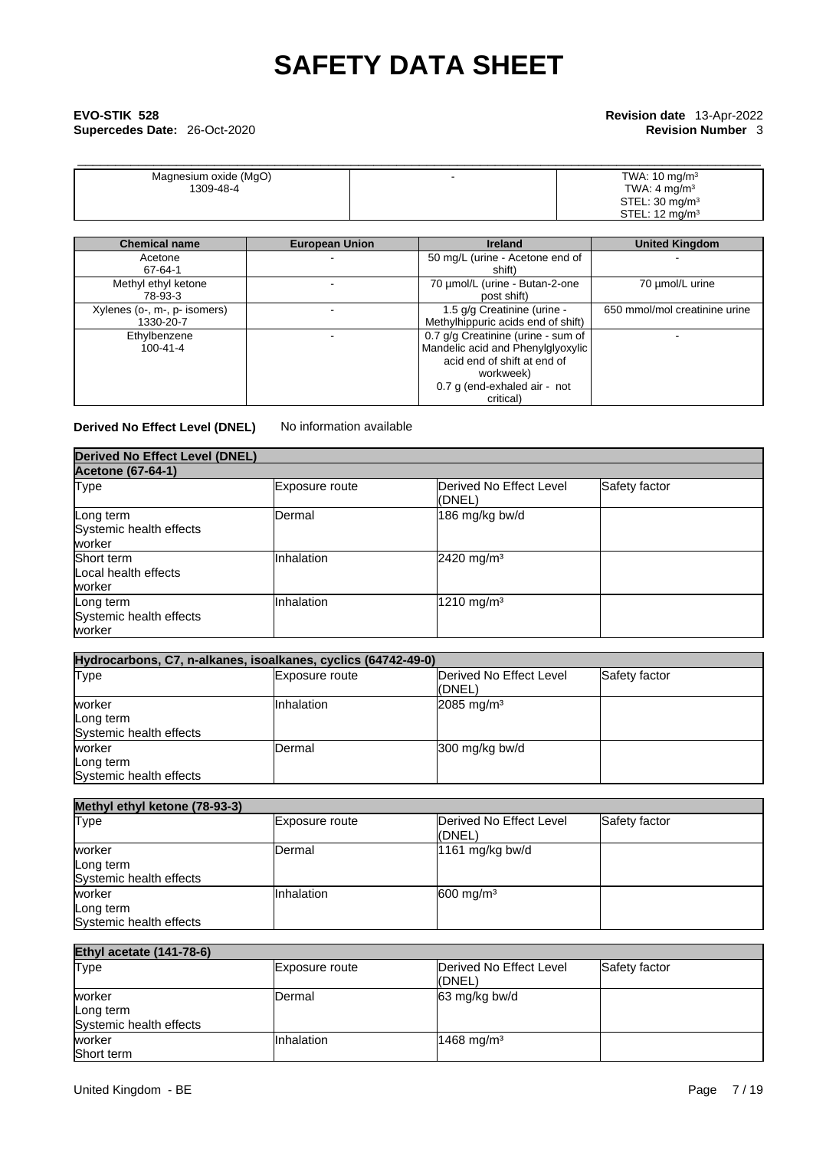# \_\_\_\_\_\_\_\_\_\_\_\_\_\_\_\_\_\_\_\_\_\_\_\_\_\_\_\_\_\_\_\_\_\_\_\_\_\_\_\_\_\_\_\_\_\_\_\_\_\_\_\_\_\_\_\_\_\_\_\_\_\_\_\_\_\_\_\_\_\_\_\_\_\_\_\_\_\_\_\_\_\_\_\_\_\_\_\_\_\_ **EVO-STIK 528 Revision date** 13-Apr-2022 **Supercedes Date: 26-Oct-2020**

| Magnesium oxide (MgO) | TWA: $10 \text{ mg/m}^3$  |
|-----------------------|---------------------------|
| 1309-48-4             | TWA: 4 mg/m <sup>3</sup>  |
|                       | STEL: $30 \text{ mg/m}^3$ |
|                       | STEL: $12 \text{ mg/m}^3$ |

| <b>Chemical name</b>                      | <b>European Union</b> | <b>Ireland</b>                                                                                                                                                   | <b>United Kingdom</b>         |
|-------------------------------------------|-----------------------|------------------------------------------------------------------------------------------------------------------------------------------------------------------|-------------------------------|
| Acetone<br>67-64-1                        |                       | 50 mg/L (urine - Acetone end of<br>shift)                                                                                                                        |                               |
| Methyl ethyl ketone<br>78-93-3            |                       | 70 µmol/L (urine - Butan-2-one<br>post shift)                                                                                                                    | 70 µmol/L urine               |
| Xylenes (o-, m-, p- isomers)<br>1330-20-7 |                       | 1.5 g/g Creatinine (urine -<br>Methylhippuric acids end of shift)                                                                                                | 650 mmol/mol creatinine urine |
| Ethylbenzene<br>$100 - 41 - 4$            |                       | 0.7 g/g Creatinine (urine - sum of<br>Mandelic acid and Phenylglyoxylic<br>acid end of shift at end of<br>workweek)<br>0.7 g (end-exhaled air - not<br>critical) |                               |

**Derived No Effect Level (DNEL)** No information available

| <b>Derived No Effect Level (DNEL)</b>          |                |                                   |               |
|------------------------------------------------|----------------|-----------------------------------|---------------|
| <b>Acetone (67-64-1)</b>                       |                |                                   |               |
| <b>Type</b>                                    | Exposure route | Derived No Effect Level<br>(DNEL) | Safety factor |
| Long term<br>Systemic health effects<br>worker | <b>Dermal</b>  | 186 mg/kg bw/d                    |               |
| Short term<br>Local health effects<br>worker   | Inhalation     | 2420 mg/m <sup>3</sup>            |               |
| Long term<br>Systemic health effects<br>worker | Inhalation     | 1210 mg/m <sup>3</sup>            |               |

| Hydrocarbons, C7, n-alkanes, isoalkanes, cyclics (64742-49-0) |                       |                                   |               |  |
|---------------------------------------------------------------|-----------------------|-----------------------------------|---------------|--|
| Type                                                          | <b>Exposure route</b> | Derived No Effect Level<br>(DNEL) | Safety factor |  |
| worker<br>Long term<br>Systemic health effects                | <b>Inhalation</b>     | $2085 \text{ mg/m}^3$             |               |  |
| worker<br>Long term<br>Systemic health effects                | Dermal                | $300$ mg/kg bw/d                  |               |  |

| Methyl ethyl ketone (78-93-3)        |                |                                           |               |  |
|--------------------------------------|----------------|-------------------------------------------|---------------|--|
| <b>Type</b>                          | Exposure route | <b>IDerived No Effect Level</b><br>(DNEL) | Safety factor |  |
| worker                               | Dermal         | 1161 mg/kg bw/d                           |               |  |
| Long term<br>Systemic health effects |                |                                           |               |  |
| worker                               | Inhalation     | $600$ mg/m <sup>3</sup>                   |               |  |
| Long term                            |                |                                           |               |  |
| Systemic health effects              |                |                                           |               |  |

# **Ethyl acetate (141-78-6)**

| Type                    | Exposure route    | Derived No Effect Level  | Safety factor |
|-------------------------|-------------------|--------------------------|---------------|
|                         |                   | ((DNEL)                  |               |
| worker                  | IDermal           | 63 mg/kg bw/d            |               |
| Long term               |                   |                          |               |
| Systemic health effects |                   |                          |               |
| worker                  | <b>Inhalation</b> | $1468$ mg/m <sup>3</sup> |               |
| Short term              |                   |                          |               |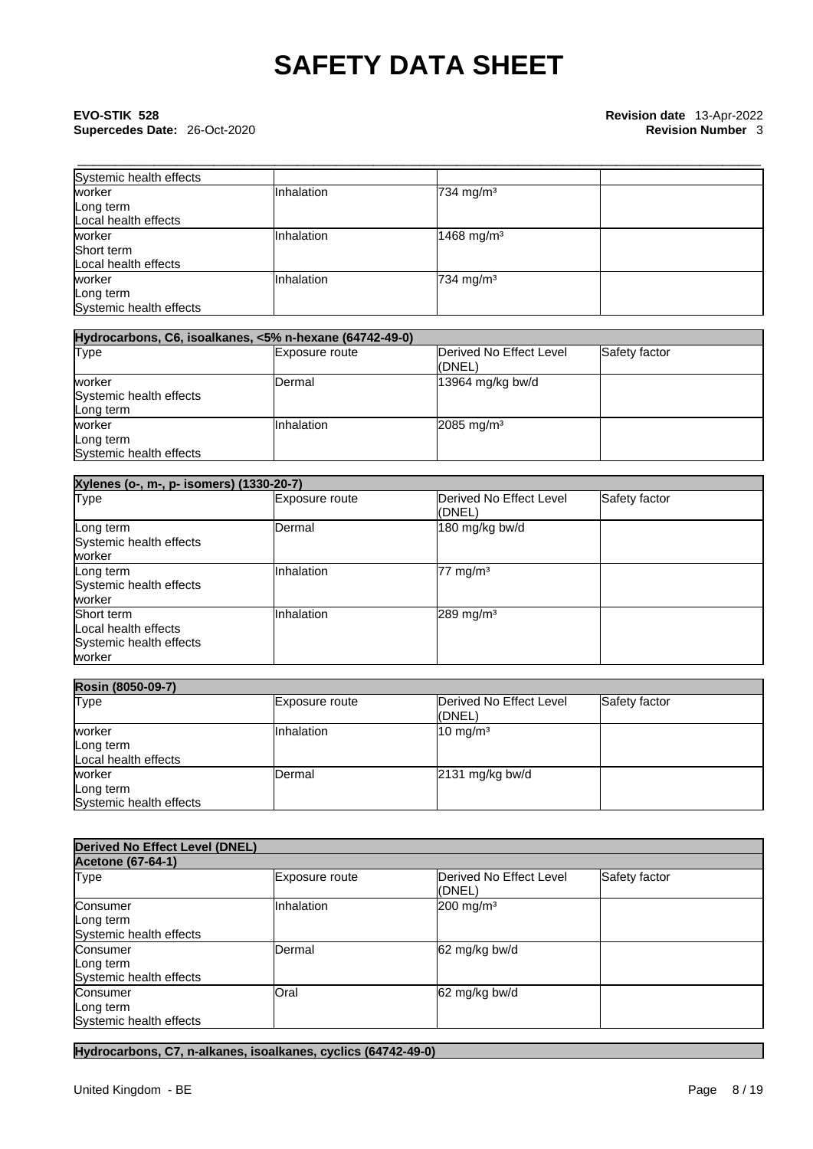# \_\_\_\_\_\_\_\_\_\_\_\_\_\_\_\_\_\_\_\_\_\_\_\_\_\_\_\_\_\_\_\_\_\_\_\_\_\_\_\_\_\_\_\_\_\_\_\_\_\_\_\_\_\_\_\_\_\_\_\_\_\_\_\_\_\_\_\_\_\_\_\_\_\_\_\_\_\_\_\_\_\_\_\_\_\_\_\_\_\_ **EVO-STIK 528 Revision date** 13-Apr-2022 **Supercedes Date: 26-Oct-2020**

| Systemic health effects |            |                         |  |
|-------------------------|------------|-------------------------|--|
| worker                  | Inhalation | $734$ mg/m <sup>3</sup> |  |
| Long term               |            |                         |  |
| Local health effects    |            |                         |  |
| worker                  | Inhalation | 1468 mg/m <sup>3</sup>  |  |
| Short term              |            |                         |  |
| Local health effects    |            |                         |  |
| worker                  | Inhalation | $734$ mg/m <sup>3</sup> |  |
| Long term               |            |                         |  |
| Systemic health effects |            |                         |  |

| Hydrocarbons, C6, isoalkanes, <5% n-hexane (64742-49-0) |                       |                                    |               |  |
|---------------------------------------------------------|-----------------------|------------------------------------|---------------|--|
| Type                                                    | <b>Exposure route</b> | Derived No Effect Level<br>l(DNEL) | Safety factor |  |
| worker<br>Systemic health effects<br>Long term          | <b>Dermal</b>         | 13964 mg/kg bw/d                   |               |  |
| worker<br>Long term<br>Systemic health effects          | Inhalation            | $2085$ mg/m <sup>3</sup>           |               |  |

| Xylenes (o-, m-, p- isomers) (1330-20-7)                                |                |                                   |               |
|-------------------------------------------------------------------------|----------------|-----------------------------------|---------------|
| Type                                                                    | Exposure route | Derived No Effect Level<br>(DNEL) | Safety factor |
| Long term<br>Systemic health effects<br>worker                          | <b>IDermal</b> | 180 mg/kg bw/d                    |               |
| Long term<br>Systemic health effects<br>worker                          | Inhalation     | $77 \text{ mg/m}^3$               |               |
| Short term<br>Local health effects<br>Systemic health effects<br>worker | Inhalation     | $289$ mg/m <sup>3</sup>           |               |

| <b>Rosin (8050-09-7)</b>                       |                |                                   |               |  |
|------------------------------------------------|----------------|-----------------------------------|---------------|--|
| <b>Type</b>                                    | Exposure route | Derived No Effect Level<br>(DNEL) | Safety factor |  |
| worker<br>Long term<br>Local health effects    | IInhalation    | $10 \text{ mg/m}^3$               |               |  |
| worker<br>Long term<br>Systemic health effects | Dermal         | $2131$ mg/kg bw/d                 |               |  |

| <b>Derived No Effect Level (DNEL)</b>            |                |                                   |               |  |
|--------------------------------------------------|----------------|-----------------------------------|---------------|--|
| <b>Acetone (67-64-1)</b>                         |                |                                   |               |  |
| Type                                             | Exposure route | Derived No Effect Level<br>(DNEL) | Safety factor |  |
| Consumer<br>Long term<br>Systemic health effects | Inhalation     | $200$ mg/m <sup>3</sup>           |               |  |
| Consumer<br>Long term<br>Systemic health effects | Dermal         | 62 mg/kg bw/d                     |               |  |
| Consumer<br>Long term<br>Systemic health effects | Oral           | 62 mg/kg bw/d                     |               |  |

**Hydrocarbons, C7, n-alkanes, isoalkanes, cyclics (64742-49-0)**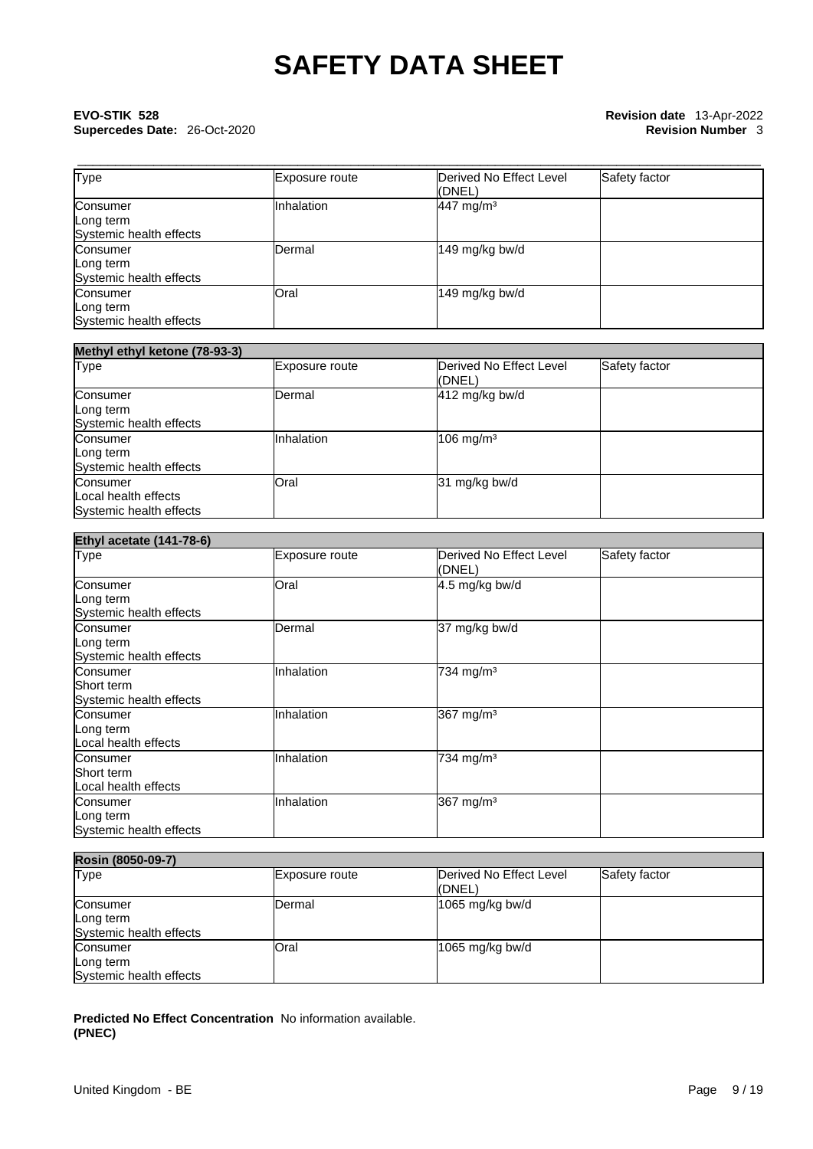# \_\_\_\_\_\_\_\_\_\_\_\_\_\_\_\_\_\_\_\_\_\_\_\_\_\_\_\_\_\_\_\_\_\_\_\_\_\_\_\_\_\_\_\_\_\_\_\_\_\_\_\_\_\_\_\_\_\_\_\_\_\_\_\_\_\_\_\_\_\_\_\_\_\_\_\_\_\_\_\_\_\_\_\_\_\_\_\_\_\_ **EVO-STIK 528 Revision date** 13-Apr-2022 **Supercedes Date: 26-Oct-2020**

| <b>Type</b>                                      | Exposure route | Derived No Effect Level<br>(DNEL) | Safety factor |
|--------------------------------------------------|----------------|-----------------------------------|---------------|
| Consumer<br>Long term<br>Systemic health effects | Inhalation     | 447 mg/m <sup>3</sup>             |               |
| Consumer<br>Long term<br>Systemic health effects | Dermal         | 149 mg/kg bw/d                    |               |
| Consumer<br>Long term<br>Systemic health effects | Oral           | 149 mg/kg bw/d                    |               |

| Methyl ethyl ketone (78-93-3)                               |                |                                    |               |
|-------------------------------------------------------------|----------------|------------------------------------|---------------|
| <b>Type</b>                                                 | Exposure route | Derived No Effect Level<br>l(DNEL) | Safety factor |
| Consumer<br>Long term<br>Systemic health effects            | Dermal         | $412$ mg/kg bw/d                   |               |
| Consumer<br>Long term<br>Systemic health effects            | Inhalation     | $106$ mg/m <sup>3</sup>            |               |
| Consumer<br>Local health effects<br>Systemic health effects | Oral           | 31 mg/kg bw/d                      |               |

| <b>Ethyl acetate (141-78-6)</b> |                |                                   |               |
|---------------------------------|----------------|-----------------------------------|---------------|
| <b>Type</b>                     | Exposure route | Derived No Effect Level<br>(DNEL) | Safety factor |
| Consumer                        | Oral           | 4.5 mg/kg bw/d                    |               |
| Long term                       |                |                                   |               |
| Systemic health effects         |                |                                   |               |
| Consumer                        | Dermal         | 37 mg/kg bw/d                     |               |
| Long term                       |                |                                   |               |
| Systemic health effects         |                |                                   |               |
| Consumer                        | Inhalation     | 734 mg/m <sup>3</sup>             |               |
| Short term                      |                |                                   |               |
| Systemic health effects         |                |                                   |               |
| Consumer                        | Inhalation     | 367 mg/m <sup>3</sup>             |               |
| Long term                       |                |                                   |               |
| Local health effects            |                |                                   |               |
| Consumer                        | Inhalation     | 734 mg/m <sup>3</sup>             |               |
| Short term                      |                |                                   |               |
| Local health effects            |                |                                   |               |
| Consumer                        | Inhalation     | 367 mg/m <sup>3</sup>             |               |
| Long term                       |                |                                   |               |
| Systemic health effects         |                |                                   |               |

| Rosin (8050-09-7)                                |                |                                    |               |
|--------------------------------------------------|----------------|------------------------------------|---------------|
| <b>Type</b>                                      | Exposure route | Derived No Effect Level<br>l(DNEL) | Safety factor |
| Consumer<br>Long term<br>Systemic health effects | Dermal         | $1065$ mg/kg bw/d                  |               |
| Consumer<br>Long term<br>Systemic health effects | Oral           | 1065 mg/kg bw/d                    |               |

**Predicted No Effect Concentration** No information available. **(PNEC)**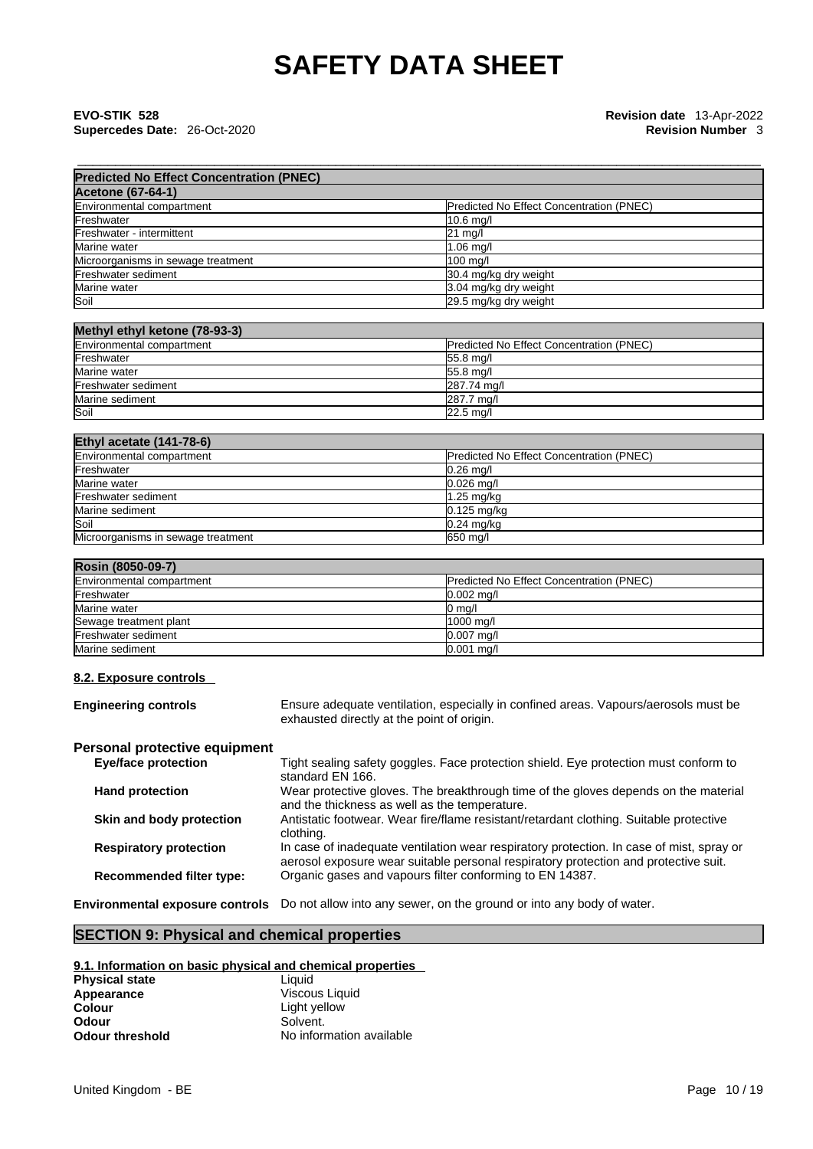# \_\_\_\_\_\_\_\_\_\_\_\_\_\_\_\_\_\_\_\_\_\_\_\_\_\_\_\_\_\_\_\_\_\_\_\_\_\_\_\_\_\_\_\_\_\_\_\_\_\_\_\_\_\_\_\_\_\_\_\_\_\_\_\_\_\_\_\_\_\_\_\_\_\_\_\_\_\_\_\_\_\_\_\_\_\_\_\_\_\_ **EVO-STIK 528 Revision date** 13-Apr-2022 **Supercedes Date:** 26-Oct-2020 **Revision Number** 3

| <b>Predicted No Effect Concentration (PNEC)</b> |                                          |
|-------------------------------------------------|------------------------------------------|
| <b>Acetone (67-64-1)</b>                        |                                          |
| Environmental compartment                       | Predicted No Effect Concentration (PNEC) |
| Freshwater                                      | $10.6$ mg/                               |
| Freshwater - intermittent                       | 21 mg/l                                  |
| Marine water                                    | 1.06 mg/l                                |
| Microorganisms in sewage treatment              | $100$ mg/l                               |
| Freshwater sediment                             | 30.4 mg/kg dry weight                    |
| Marine water                                    | 3.04 mg/kg dry weight                    |
| Soil                                            | 29.5 mg/kg dry weight                    |

# **Methyl ethyl ketone (78-93-3)**

| Environmental compartment | <b>Predicted No Effect Concentration (PNEC)</b> |
|---------------------------|-------------------------------------------------|
| Freshwater                | 55.8 ma/l                                       |
| Marine water              | $55.8$ mg/                                      |
| Freshwater sediment       | 287.74 mg/l                                     |
| Marine sediment           | 287.7 ma/l                                      |
| Soil                      | $22.5 \text{ mq/}$                              |

| <b>Ethyl acetate (141-78-6)</b>    |                                          |
|------------------------------------|------------------------------------------|
| Environmental compartment          | Predicted No Effect Concentration (PNEC) |
| Freshwater                         | $0.26$ mg/                               |
| Marine water                       | $0.026$ mg/l                             |
| Freshwater sediment                | $1.25$ mg/kg                             |
| Marine sediment                    | $0.125$ mg/kg                            |
| Soil                               | $0.24$ mg/kg                             |
| Microorganisms in sewage treatment | 650 mg/l                                 |

| Rosin (8050-09-7)         |                                                 |
|---------------------------|-------------------------------------------------|
| Environmental compartment | <b>Predicted No Effect Concentration (PNEC)</b> |
| Freshwater                | $0.002$ ma/l                                    |
| Marine water              | $0 \text{ ma/l}$                                |
| Sewage treatment plant    | 1000 ma/l                                       |
| Freshwater sediment       | $0.007$ mg/l                                    |
| Marine sediment           | $0.001$ mg/l                                    |

### **8.2. Exposure controls**

| <b>Engineering controls</b>     | Ensure adequate ventilation, especially in confined areas. Vapours/aerosols must be<br>exhausted directly at the point of origin.                                               |
|---------------------------------|---------------------------------------------------------------------------------------------------------------------------------------------------------------------------------|
| Personal protective equipment   |                                                                                                                                                                                 |
| <b>Eye/face protection</b>      | Tight sealing safety goggles. Face protection shield. Eye protection must conform to<br>standard EN 166.                                                                        |
| <b>Hand protection</b>          | Wear protective gloves. The breakthrough time of the gloves depends on the material<br>and the thickness as well as the temperature.                                            |
| Skin and body protection        | Antistatic footwear. Wear fire/flame resistant/retardant clothing. Suitable protective<br>clothing.                                                                             |
| <b>Respiratory protection</b>   | In case of inadequate ventilation wear respiratory protection. In case of mist, spray or<br>aerosol exposure wear suitable personal respiratory protection and protective suit. |
| <b>Recommended filter type:</b> | Organic gases and vapours filter conforming to EN 14387.                                                                                                                        |

**Environmental exposure controls** Do not allow into any sewer, on the ground or into any body of water.

# **SECTION 9: Physical and chemical properties**

# **9.1. Information on basic physical and chemical properties**

| <b>Physical state</b> | Liauid                   |
|-----------------------|--------------------------|
| Appearance            | Viscous Liquid           |
| Colour                | Light yellow             |
| Odour                 | Solvent.                 |
| Odour threshold       | No information available |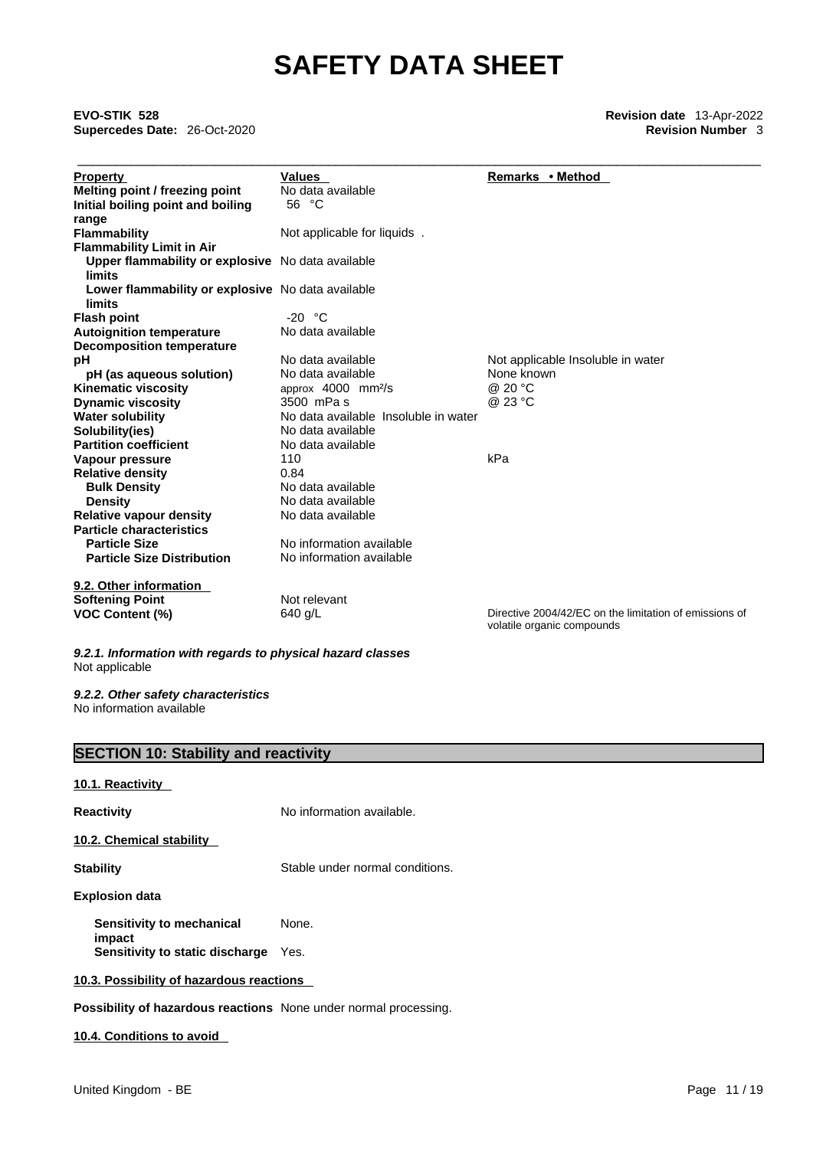\_\_\_\_\_\_\_\_\_\_\_\_\_\_\_\_\_\_\_\_\_\_\_\_\_\_\_\_\_\_\_\_\_\_\_\_\_\_\_\_\_\_\_\_\_\_\_\_\_\_\_\_\_\_\_\_\_\_\_\_\_\_\_\_\_\_\_\_\_\_\_\_\_\_\_\_\_\_\_\_\_\_\_\_\_\_\_\_\_\_ **EVO-STIK 528 Revision date** 13-Apr-2022 **Supercedes Date:** 26-Oct-2020 **Revision Number** 3

| <b>Property</b>                                   | <b>Values</b>                        | Remarks • Method                                                                     |
|---------------------------------------------------|--------------------------------------|--------------------------------------------------------------------------------------|
| Melting point / freezing point                    | No data available                    |                                                                                      |
| Initial boiling point and boiling                 | 56 °C                                |                                                                                      |
| range                                             |                                      |                                                                                      |
| <b>Flammability</b>                               | Not applicable for liquids.          |                                                                                      |
| <b>Flammability Limit in Air</b>                  |                                      |                                                                                      |
| Upper flammability or explosive No data available |                                      |                                                                                      |
| limits                                            |                                      |                                                                                      |
| Lower flammability or explosive No data available |                                      |                                                                                      |
| limits                                            |                                      |                                                                                      |
| <b>Flash point</b>                                | $-20 °C$                             |                                                                                      |
| <b>Autoignition temperature</b>                   | No data available                    |                                                                                      |
| <b>Decomposition temperature</b>                  |                                      |                                                                                      |
| рH                                                | No data available                    | Not applicable Insoluble in water                                                    |
| pH (as aqueous solution)                          | No data available                    | None known                                                                           |
| Kinematic viscosity                               | approx 4000 mm <sup>2</sup> /s       | @ 20 °C                                                                              |
| <b>Dynamic viscosity</b>                          | 3500 mPa s                           | @ 23 °C                                                                              |
| <b>Water solubility</b>                           | No data available Insoluble in water |                                                                                      |
| Solubility(ies)                                   | No data available                    |                                                                                      |
| <b>Partition coefficient</b>                      | No data available                    |                                                                                      |
| Vapour pressure                                   | 110                                  | kPa                                                                                  |
| <b>Relative density</b>                           | 0.84                                 |                                                                                      |
| <b>Bulk Density</b>                               | No data available                    |                                                                                      |
| <b>Density</b>                                    | No data available                    |                                                                                      |
| <b>Relative vapour density</b>                    | No data available                    |                                                                                      |
| <b>Particle characteristics</b>                   |                                      |                                                                                      |
| <b>Particle Size</b>                              | No information available             |                                                                                      |
| <b>Particle Size Distribution</b>                 | No information available             |                                                                                      |
| 9.2. Other information                            |                                      |                                                                                      |
| <b>Softening Point</b>                            | Not relevant                         |                                                                                      |
| <b>VOC Content (%)</b>                            | 640 g/L                              | Directive 2004/42/EC on the limitation of emissions of<br>volatile organic compounds |
|                                                   |                                      |                                                                                      |

*9.2.1. Information with regards to physical hazard classes* Not applicable

*9.2.2. Other safety characteristics* No information available

# **SECTION 10: Stability and reactivity**

**10.1. Reactivity** 

**Reactivity No information available.** 

**10.2. Chemical stability** 

**Stability** Stable under normal conditions.

#### **Explosion data**

**Sensitivity to mechanical impact**  None. **Sensitivity to static discharge** Yes.

## **10.3. Possibility of hazardous reactions**

**Possibility of hazardous reactions** None under normal processing.

## **10.4. Conditions to avoid**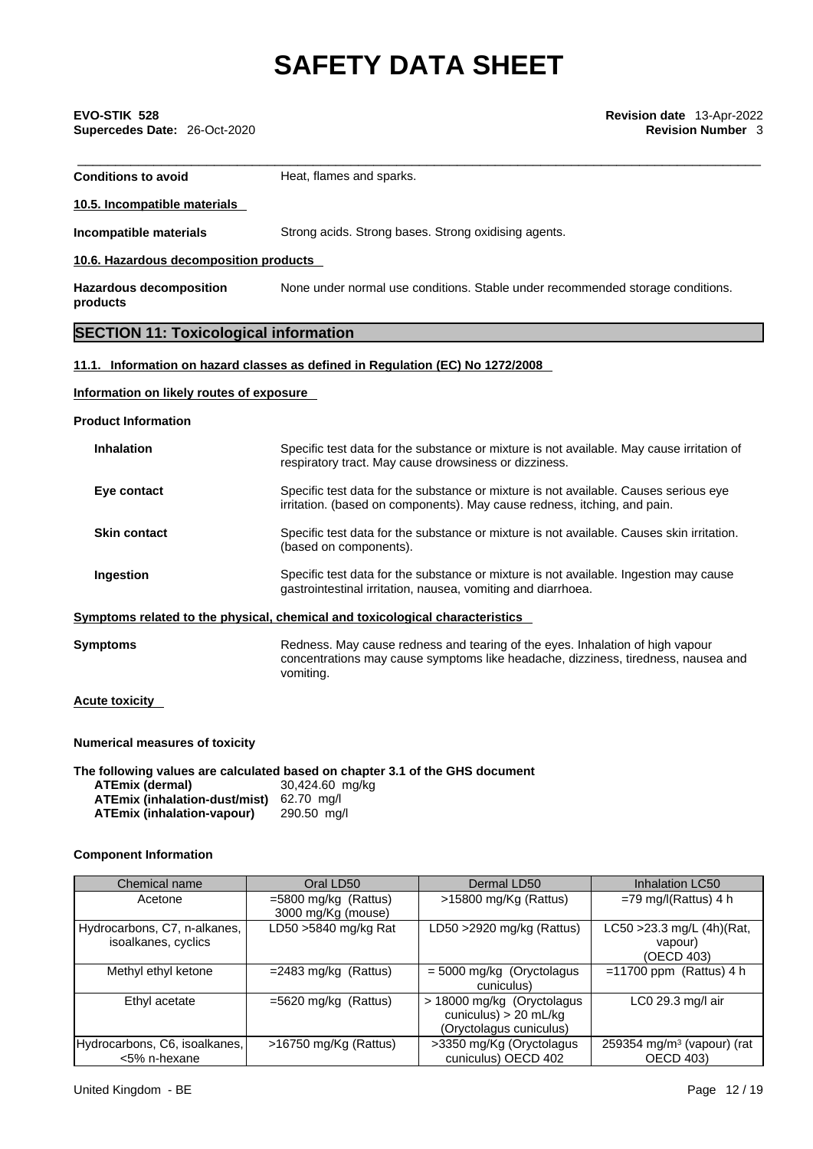| EVO-STIK 528                 | <b>Revision date</b> 13-Apr-2022 |
|------------------------------|----------------------------------|
| Supercedes Date: 26-Oct-2020 | <b>Revision Number 3</b>         |
|                              |                                  |
|                              |                                  |

| <b>Conditions to avoid</b>                                                                              | Heat, flames and sparks.                                                                                                                                                        |
|---------------------------------------------------------------------------------------------------------|---------------------------------------------------------------------------------------------------------------------------------------------------------------------------------|
| 10.5. Incompatible materials                                                                            |                                                                                                                                                                                 |
| Incompatible materials                                                                                  | Strong acids. Strong bases. Strong oxidising agents.                                                                                                                            |
| 10.6. Hazardous decomposition products                                                                  |                                                                                                                                                                                 |
| <b>Hazardous decomposition</b><br>products                                                              | None under normal use conditions. Stable under recommended storage conditions.                                                                                                  |
| <b>SECTION 11: Toxicological information</b>                                                            |                                                                                                                                                                                 |
|                                                                                                         | 11.1. Information on hazard classes as defined in Regulation (EC) No 1272/2008                                                                                                  |
| Information on likely routes of exposure                                                                |                                                                                                                                                                                 |
| <b>Product Information</b>                                                                              |                                                                                                                                                                                 |
| <b>Inhalation</b>                                                                                       | Specific test data for the substance or mixture is not available. May cause irritation of<br>respiratory tract. May cause drowsiness or dizziness.                              |
| Eye contact                                                                                             | Specific test data for the substance or mixture is not available. Causes serious eye<br>irritation. (based on components). May cause redness, itching, and pain.                |
| <b>Skin contact</b>                                                                                     | Specific test data for the substance or mixture is not available. Causes skin irritation.<br>(based on components).                                                             |
| Ingestion                                                                                               | Specific test data for the substance or mixture is not available. Ingestion may cause<br>gastrointestinal irritation, nausea, vomiting and diarrhoea.                           |
|                                                                                                         | Symptoms related to the physical, chemical and toxicological characteristics                                                                                                    |
| <b>Symptoms</b>                                                                                         | Redness. May cause redness and tearing of the eyes. Inhalation of high vapour<br>concentrations may cause symptoms like headache, dizziness, tiredness, nausea and<br>vomiting. |
| <b>Acute toxicity</b>                                                                                   |                                                                                                                                                                                 |
| <b>Numerical measures of toxicity</b>                                                                   |                                                                                                                                                                                 |
| <b>ATEmix (dermal)</b><br>ATEmix (inhalation-dust/mist) 62.70 mg/l<br><b>ATEmix (inhalation-vapour)</b> | The following values are calculated based on chapter 3.1 of the GHS document<br>30,424.60 mg/kg<br>290.50 mg/l                                                                  |

# **Component Information**

| Chemical name                                       | Oral LD50                                    | Dermal LD50                                                                      |                                                            |
|-----------------------------------------------------|----------------------------------------------|----------------------------------------------------------------------------------|------------------------------------------------------------|
| Acetone                                             | $=5800$ mg/kg (Rattus)<br>3000 mg/Kg (mouse) | >15800 mg/Kg (Rattus)                                                            | $=79$ mg/l(Rattus) 4 h                                     |
| Hydrocarbons, C7, n-alkanes,<br>isoalkanes, cyclics | LD50 >5840 mg/kg Rat                         | LD50 >2920 mg/kg (Rattus)                                                        | LC50 > 23.3 mg/L (4h) (Rat,<br>vapour)<br>(OECD 403)       |
| Methyl ethyl ketone                                 | $=$ 2483 mg/kg (Rattus)                      | $=$ 5000 mg/kg (Oryctolagus<br>cuniculus)                                        | $=11700$ ppm (Rattus) 4 h                                  |
| Ethyl acetate                                       | $=5620$ mg/kg (Rattus)                       | > 18000 mg/kg (Oryctolagus<br>cuniculus) $> 20$ mL/kg<br>(Oryctolagus cuniculus) | LC0 29.3 mg/l air                                          |
| Hydrocarbons, C6, isoalkanes,<br><5% n-hexane       | >16750 mg/Kg (Rattus)                        | >3350 mg/Kg (Oryctolagus<br>cuniculus) OECD 402                                  | 259354 mg/m <sup>3</sup> (vapour) (rat<br><b>OECD 403)</b> |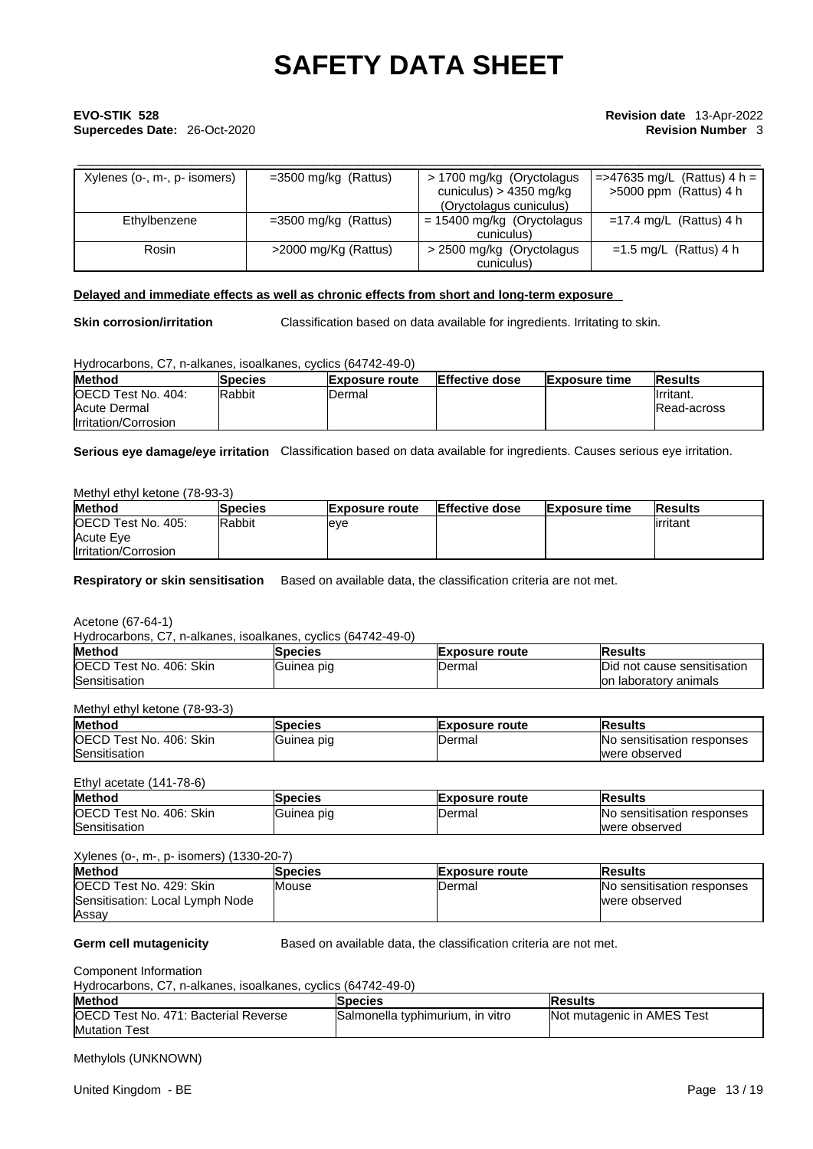# \_\_\_\_\_\_\_\_\_\_\_\_\_\_\_\_\_\_\_\_\_\_\_\_\_\_\_\_\_\_\_\_\_\_\_\_\_\_\_\_\_\_\_\_\_\_\_\_\_\_\_\_\_\_\_\_\_\_\_\_\_\_\_\_\_\_\_\_\_\_\_\_\_\_\_\_\_\_\_\_\_\_\_\_\_\_\_\_\_\_ **EVO-STIK 528 Revision date** 13-Apr-2022 **Supercedes Date:** 26-Oct-2020 **Revision Number** 3

| Xylenes (o-, m-, p- isomers) | $=3500$ mg/kg (Rattus) | > 1700 mg/kg (Oryctolagus<br>cuniculus) > 4350 mg/kg<br>(Oryctolagus cuniculus) | $=$ =>47635 mg/L (Rattus) 4 h =<br>$>5000$ ppm (Rattus) 4 h |
|------------------------------|------------------------|---------------------------------------------------------------------------------|-------------------------------------------------------------|
| Ethylbenzene                 | $=3500$ mg/kg (Rattus) | $= 15400$ mg/kg (Oryctolagus<br>cuniculus)                                      | $=17.4$ mg/L (Rattus) 4 h                                   |
| Rosin                        | >2000 mg/Kg (Rattus)   | > 2500 mg/kg (Oryctolagus<br>cuniculus)                                         | $=1.5$ mg/L (Rattus) 4 h                                    |

#### **Delayed and immediate effects as well as chronic effects from short and long-term exposure**

**Skin corrosion/irritation** Classification based on data available for ingredients. Irritating to skin.

Hydrocarbons, C7, n-alkanes, isoalkanes, cyclics (64742-49-0)

| <b>Method</b>              | Species | <b>Exposure route</b> | <b>Effective dose</b> | <b>Exposure time</b> | <b>IResults</b> |
|----------------------------|---------|-----------------------|-----------------------|----------------------|-----------------|
| <b>IOECD Test No. 404:</b> | Rabbit  | <b>IDermal</b>        |                       |                      | Ilrritant.      |
| Acute Dermal               |         |                       |                       |                      | IRead-across    |
| Irritation/Corrosion       |         |                       |                       |                      |                 |

**Serious eye damage/eye irritation** Classification based on data available for ingredients. Causes serious eye irritation.

#### Methyl ethyl ketone (78-93-3)

| <b>Method</b>               | <b>Species</b> | <b>Exposure route</b> | Effective dose | <b>Exposure time</b> | <b>Results</b> |
|-----------------------------|----------------|-----------------------|----------------|----------------------|----------------|
| <b>IOECD Test No. 405:</b>  | <b>Rabbit</b>  | leve                  |                |                      | lirritant      |
| <b>Acute Eve</b>            |                |                       |                |                      |                |
| <b>Irritation/Corrosion</b> |                |                       |                |                      |                |

**Respiratory or skin sensitisation** Based on available data, the classification criteria are not met.

Acetone (67-64-1)

Hydrocarbons, C7, n-alkanes, isoalkanes, cyclics (64742-49-0)

| <b>Method</b>                                                         | <b>Species</b> | lExposure route | <b>Results</b>                      |
|-----------------------------------------------------------------------|----------------|-----------------|-------------------------------------|
| <b>OECD</b><br>406: Skin<br>$\overline{\phantom{0}}$<br>* No.<br>Test | IGuinea pig    | IDermal         | Did<br>I not cause sensitisation    |
| Sensitisation                                                         |                |                 | ⊧ laboratorv animals<br>$\sim$<br>u |

### Methyl ethyl ketone (78-93-3)

| <b>Method</b>                            | <b>Species</b> | <b>Exposure route</b> | <b>IResults</b>                            |
|------------------------------------------|----------------|-----------------------|--------------------------------------------|
| <b>IOECD</b><br>Skin<br>406:<br>Test No. | Guinea pig     | Dermal                | <b>INo</b><br>⊦ sensitisation<br>responses |
| Sensitisation                            |                |                       | lwere observed                             |

### Ethyl acetate (141-78-6)

| <b>Method</b>                              | <b>pecies</b> | <b>Exposure route</b> | Results                             |  |
|--------------------------------------------|---------------|-----------------------|-------------------------------------|--|
| <b>OECD</b> Te<br>Skin<br>406:<br>Test No. | Guinea piq    | IDermal               | responses<br>∍ sensitisation<br>INO |  |
| Sensitisation                              |               |                       | lwere observed                      |  |

#### Xylenes (o-, m-, p- isomers) (1330-20-7)

| <b>Method</b>                   | Species | <b>Exposure route</b> | <b>IResults</b>                   |  |
|---------------------------------|---------|-----------------------|-----------------------------------|--|
| <b>IOECD Test No. 429: Skin</b> | Mouse   | IDermal               | <b>No sensitisation responses</b> |  |
| Sensitisation: Local Lymph Node |         |                       | were observed                     |  |
| Assay                           |         |                       |                                   |  |

**Germ cell mutagenicity** Based on available data, the classification criteria are not met.

Component Information

Hydrocarbons, C7, n-alkanes, isoalkanes, cyclics (64742-49-0)

| <b>Method</b>                                | lSpecies                         | lResults                   |
|----------------------------------------------|----------------------------------|----------------------------|
| <b>IOECD Test No. 471: Bacterial Reverse</b> | Salmonella typhimurium, in vitro | Not mutagenic in AMES Test |
| <b>Mutation Test</b>                         |                                  |                            |

Methylols (UNKNOWN)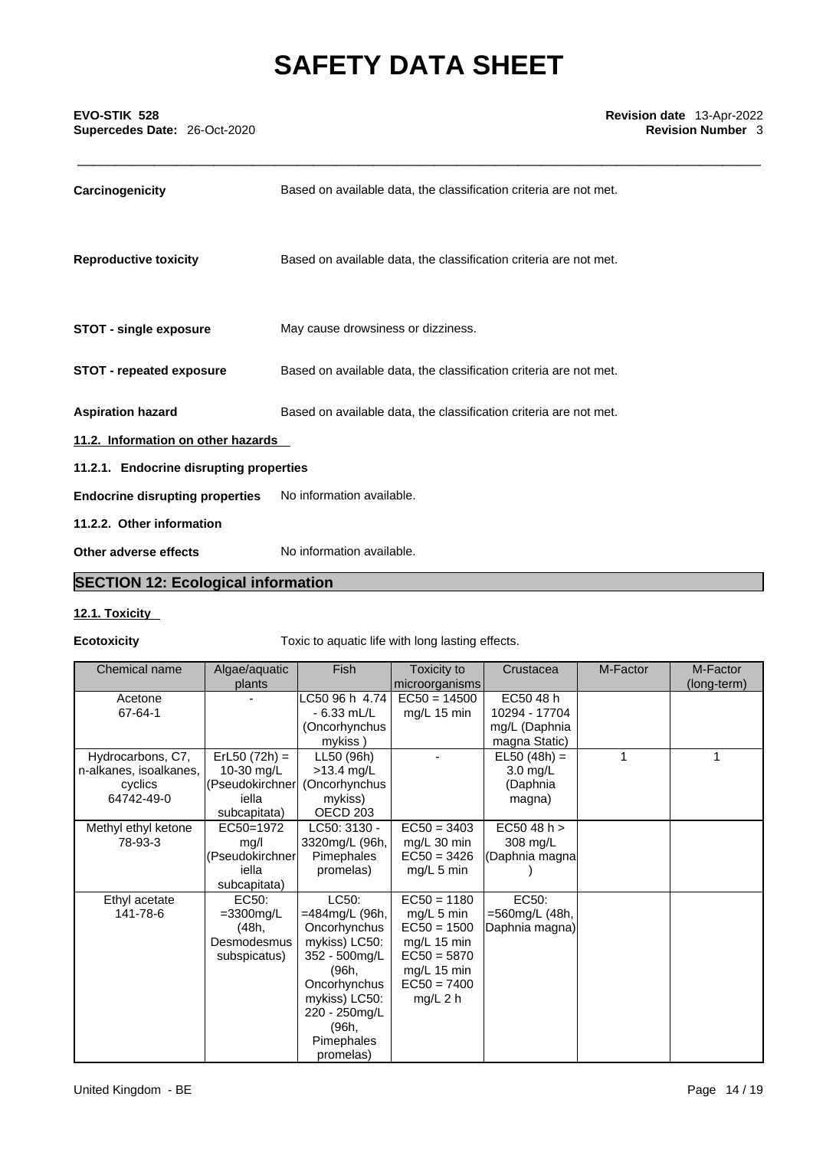| Carcinogenicity                         | Based on available data, the classification criteria are not met. |
|-----------------------------------------|-------------------------------------------------------------------|
| <b>Reproductive toxicity</b>            | Based on available data, the classification criteria are not met. |
| <b>STOT - single exposure</b>           | May cause drowsiness or dizziness.                                |
| <b>STOT - repeated exposure</b>         | Based on available data, the classification criteria are not met. |
| <b>Aspiration hazard</b>                | Based on available data, the classification criteria are not met. |
| 11.2. Information on other hazards      |                                                                   |
| 11.2.1. Endocrine disrupting properties |                                                                   |
| <b>Endocrine disrupting properties</b>  | No information available.                                         |
| 11.2.2. Other information               |                                                                   |
| Other adverse effects                   | No information available.                                         |

# **SECTION 12: Ecological information**

# **12.1. Toxicity**

**Ecotoxicity Toxic to aquatic life with long lasting effects.** 

| Chemical name          | Algae/aquatic      | Fish           | Toxicity to              | Crustacea      | M-Factor | M-Factor    |
|------------------------|--------------------|----------------|--------------------------|----------------|----------|-------------|
|                        | plants             |                | microorganisms           |                |          | (long-term) |
| Acetone                |                    | C50 96 h 4.74  | $EC50 = 14500$           | EC50 48 h      |          |             |
| 67-64-1                |                    | $-6.33$ mL/L   | mg/L 15 min              | 10294 - 17704  |          |             |
|                        |                    | (Oncorhynchus  |                          | mg/L (Daphnia  |          |             |
|                        |                    | mykiss)        |                          | magna Static)  |          |             |
| Hydrocarbons, C7,      | $ErL50 (72h) =$    | LL50 (96h)     |                          | $EL50 (48h) =$ |          | 1           |
| n-alkanes, isoalkanes, | 10-30 mg/L         | $>13.4$ mg/L   |                          | 3.0 mg/L       |          |             |
| cyclics                | (Pseudokirchner    | (Oncorhynchus  |                          | (Daphnia       |          |             |
| 64742-49-0             | iella              | mykiss)        |                          | magna)         |          |             |
|                        | subcapitata)       | OECD 203       |                          |                |          |             |
| Methyl ethyl ketone    | EC50=1972          | LC50: 3130 -   | $EC50 = 3403$            | EC5048 h >     |          |             |
| 78-93-3                | mg/l               | 3320mg/L (96h, | mg/L 30 min              | 308 mg/L       |          |             |
|                        | (Pseudokirchner    | Pimephales     | $EC50 = 3426$            | (Daphnia magna |          |             |
|                        | iella              | promelas)      | $mg/L$ 5 min             |                |          |             |
|                        | subcapitata)       |                |                          |                |          |             |
| Ethyl acetate          | EC <sub>50</sub> : | LC50:          | $\overline{EC50} = 1180$ | EC50:          |          |             |
| 141-78-6               | $=3300$ mg/L       | =484mg/L (96h, | mg/L 5 min               | =560mg/L (48h, |          |             |
|                        | (48h,              | Oncorhynchus   | $EC50 = 1500$            | Daphnia magna) |          |             |
|                        | Desmodesmus        | mykiss) LC50:  | mg/L 15 min              |                |          |             |
|                        | subspicatus)       | 352 - 500mg/L  | $EC50 = 5870$            |                |          |             |
|                        |                    | (96h,          | mg/L 15 min              |                |          |             |
|                        |                    | Oncorhynchus   | $EC50 = 7400$            |                |          |             |
|                        |                    | mykiss) LC50:  | $mg/L$ 2 h               |                |          |             |
|                        |                    | 220 - 250mg/L  |                          |                |          |             |
|                        |                    | (96h,          |                          |                |          |             |
|                        |                    | Pimephales     |                          |                |          |             |
|                        |                    | promelas)      |                          |                |          |             |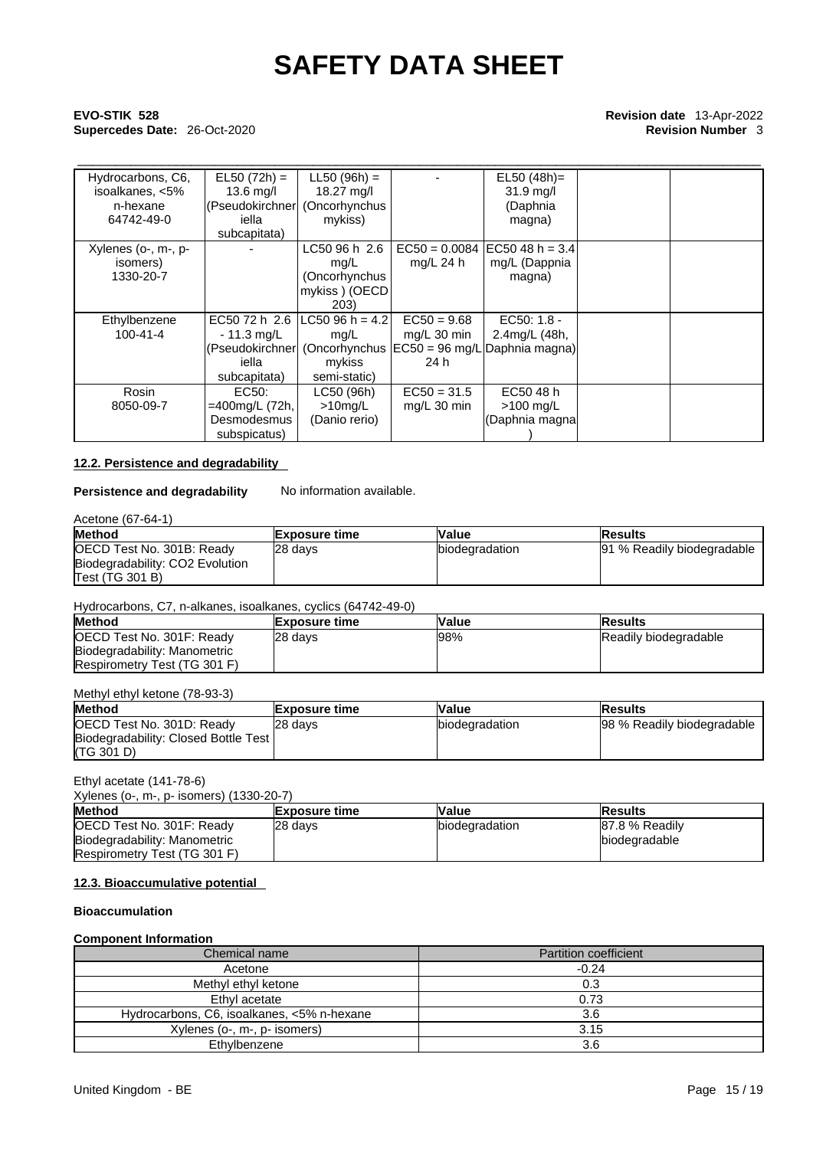# \_\_\_\_\_\_\_\_\_\_\_\_\_\_\_\_\_\_\_\_\_\_\_\_\_\_\_\_\_\_\_\_\_\_\_\_\_\_\_\_\_\_\_\_\_\_\_\_\_\_\_\_\_\_\_\_\_\_\_\_\_\_\_\_\_\_\_\_\_\_\_\_\_\_\_\_\_\_\_\_\_\_\_\_\_\_\_\_\_\_ **EVO-STIK 528 Revision date** 13-Apr-2022 **Supercedes Date:** 26-Oct-2020 **Revision Number** 3

| Hydrocarbons, C6,   | $EL50 (72h) =$ | $LL50 (96h) =$                |                 | $EL50 (48h) =$                |  |
|---------------------|----------------|-------------------------------|-----------------|-------------------------------|--|
| isoalkanes, <5%     | $13.6$ mg/l    | 18.27 mg/l                    |                 | $31.9$ mg/l                   |  |
| n-hexane            |                | (Pseudokirchner (Oncorhynchus |                 | (Daphnia                      |  |
| 64742-49-0          | iella          | mykiss)                       |                 | magna)                        |  |
|                     | subcapitata)   |                               |                 |                               |  |
| Xylenes (o-, m-, p- |                | LC50 96 h 2.6                 | $EC50 = 0.0084$ | $EC5048 h = 3.4$              |  |
| isomers)            |                | mq/L                          | $mq/L$ 24 h     | mg/L (Dappnia                 |  |
| 1330-20-7           |                | (Oncorhynchus                 |                 | magna)                        |  |
|                     |                | mykiss ) (OECD                |                 |                               |  |
|                     |                | 203)                          |                 |                               |  |
| Ethylbenzene        | EC50 72 h 2.6  | lLC50 96 h = 4.2l             | $EC50 = 9.68$   | EC50: 1.8 -                   |  |
| $100 - 41 - 4$      | $-11.3$ mg/L   | mg/L                          | mg/L 30 min     | 2.4mg/L (48h,                 |  |
|                     |                | (Pseudokirchner (Oncorhynchus |                 | EC50 = 96 mg/L Daphnia magna) |  |
|                     | iella          | mykiss                        | 24 h            |                               |  |
|                     | subcapitata)   | semi-static)                  |                 |                               |  |
| Rosin               | EC50:          | LC50 (96h)                    | $EC50 = 31.5$   | EC50 48 h                     |  |
| 8050-09-7           | =400mg/L (72h, | $>10$ mg/L                    | $mg/L$ 30 min   | >100 mg/L                     |  |
|                     | Desmodesmus    | (Danio rerio)                 |                 | (Daphnia magna                |  |
|                     | subspicatus)   |                               |                 |                               |  |

### **12.2. Persistence and degradability**

# **Persistence and degradability** No information available.

| Acetone (67-64-1)               |                      |                        |                            |  |  |
|---------------------------------|----------------------|------------------------|----------------------------|--|--|
| <b>Method</b>                   | <b>Exposure time</b> | <b>Value</b>           | lResults                   |  |  |
| OECD Test No. 301B: Ready       | 28 days              | <b>Ibiodegradation</b> | 91 % Readily biodegradable |  |  |
| Biodegradability: CO2 Evolution |                      |                        |                            |  |  |
| Test (TG 301 B)                 |                      |                        |                            |  |  |

# Hydrocarbons, C7, n-alkanes, isoalkanes, cyclics (64742-49-0)

| <b>Method</b>                | <b>IExposure time</b> | <b>Value</b> | <b>Results</b>        |
|------------------------------|-----------------------|--------------|-----------------------|
| OECD Test No. 301F: Ready    | 28 davs               | 98%          | Readily biodegradable |
| Biodegradability: Manometric |                       |              |                       |
| Respirometry Test (TG 301 F) |                       |              |                       |

#### Methyl ethyl ketone (78-93-3)

| <b>Method</b>                        | <b>Exposure time</b> | Value          | lResults                   |  |  |  |
|--------------------------------------|----------------------|----------------|----------------------------|--|--|--|
| OECD Test No. 301D: Ready            | 28 days              | biodegradation | 98 % Readily biodegradable |  |  |  |
| Biodegradability: Closed Bottle Test |                      |                |                            |  |  |  |
| (TG 301 D)                           |                      |                |                            |  |  |  |

### Ethyl acetate (141-78-6)

| Xylenes (o-, m-, p- isomers) (1330-20-7) |  |
|------------------------------------------|--|
|------------------------------------------|--|

| <b>Method</b>                | <b>Exposure time</b> | Value          | <b>Results</b> |
|------------------------------|----------------------|----------------|----------------|
| OECD Test No. 301F: Ready    | 28 days              | biodegradation | 87.8 % Readily |
| Biodegradability: Manometric |                      |                | biodegradable  |
| Respirometry Test (TG 301 F) |                      |                |                |

### **12.3. Bioaccumulative potential**

#### **Bioaccumulation**

### **Component Information**

| Chemical name                              | <b>Partition coefficient</b> |  |
|--------------------------------------------|------------------------------|--|
| Acetone                                    | $-0.24$                      |  |
| Methyl ethyl ketone                        | 0.3                          |  |
| Ethyl acetate                              | 0.73                         |  |
| Hydrocarbons, C6, isoalkanes, <5% n-hexane | 3.6                          |  |
| Xylenes (o-, m-, p- isomers)               | 3.15                         |  |
| Ethylbenzene                               | 3.6                          |  |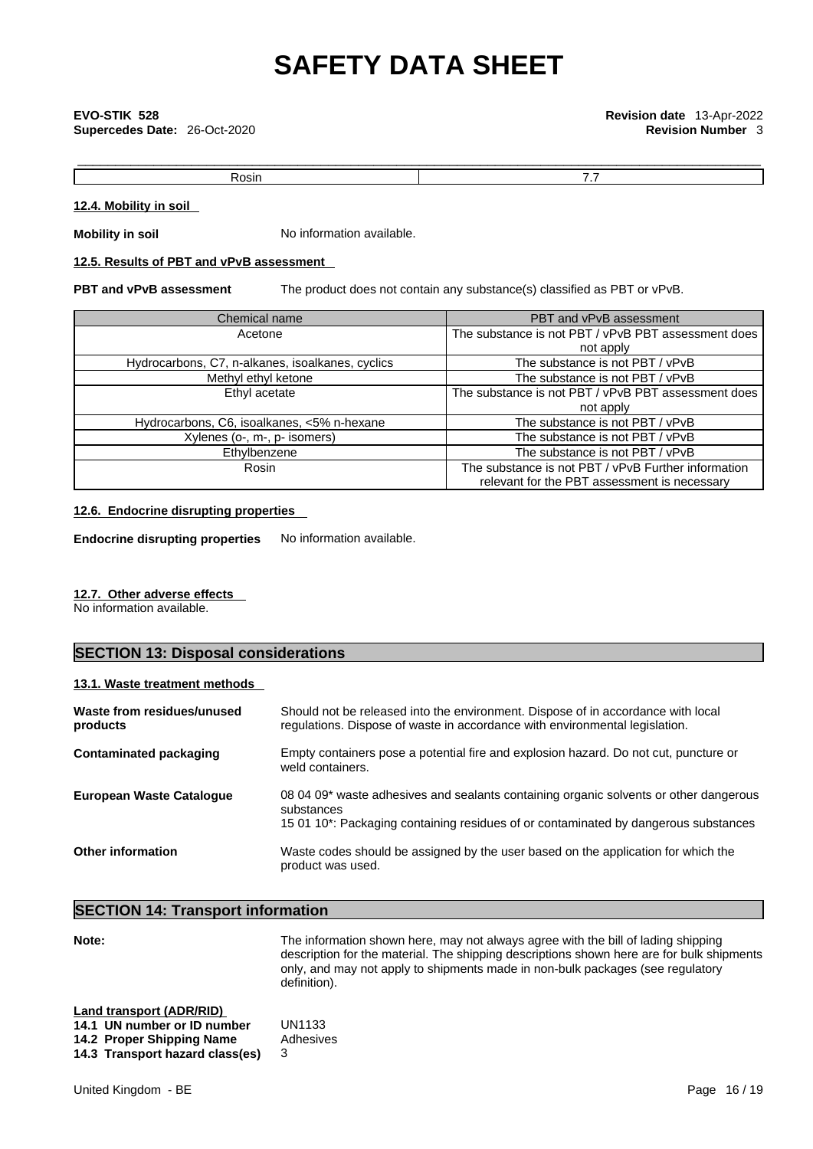# \_\_\_\_\_\_\_\_\_\_\_\_\_\_\_\_\_\_\_\_\_\_\_\_\_\_\_\_\_\_\_\_\_\_\_\_\_\_\_\_\_\_\_\_\_\_\_\_\_\_\_\_\_\_\_\_\_\_\_\_\_\_\_\_\_\_\_\_\_\_\_\_\_\_\_\_\_\_\_\_\_\_\_\_\_\_\_\_\_\_ **EVO-STIK 528 Revision date** 13-Apr-2022 **Supercedes Date:** 26-Oct-2020 **Revision Number** 3

Rosin **Rosin Rosin Rosin Rosin Rosin Rosin R** 

### **12.4. Mobility in soil**

**Mobility in soil** No information available.

## **12.5. Results of PBT and vPvB assessment**

**PBT and vPvB assessment** The product does not contain any substance(s) classified as PBT or vPvB.

| Chemical name                                    | PBT and vPvB assessment                                                                             |
|--------------------------------------------------|-----------------------------------------------------------------------------------------------------|
| Acetone                                          | The substance is not PBT / vPvB PBT assessment does                                                 |
|                                                  | not apply                                                                                           |
| Hydrocarbons, C7, n-alkanes, isoalkanes, cyclics | The substance is not PBT / vPvB                                                                     |
| Methyl ethyl ketone                              | The substance is not PBT / vPvB                                                                     |
| Ethyl acetate                                    | The substance is not PBT / vPvB PBT assessment does                                                 |
|                                                  | not apply                                                                                           |
| Hydrocarbons, C6, isoalkanes, <5% n-hexane       | The substance is not PBT / vPvB                                                                     |
| Xylenes (o-, m-, p- isomers)                     | The substance is not PBT / vPvB                                                                     |
| Ethylbenzene                                     | The substance is not PBT / vPvB                                                                     |
| Rosin                                            | The substance is not PBT / vPvB Further information<br>relevant for the PBT assessment is necessary |

### **12.6. Endocrine disrupting properties**

**Endocrine disrupting properties** No information available.

### **12.7. Other adverse effects**

No information available.

# **SECTION 13: Disposal considerations**

### **13.1. Waste treatment methods**

| Waste from residues/unused<br>products | Should not be released into the environment. Dispose of in accordance with local<br>regulations. Dispose of waste in accordance with environmental legislation.                            |
|----------------------------------------|--------------------------------------------------------------------------------------------------------------------------------------------------------------------------------------------|
| <b>Contaminated packaging</b>          | Empty containers pose a potential fire and explosion hazard. Do not cut, puncture or<br>weld containers.                                                                                   |
| <b>European Waste Cataloque</b>        | 08 04 09* waste adhesives and sealants containing organic solvents or other dangerous<br>substances<br>15 01 10*: Packaging containing residues of or contaminated by dangerous substances |
| <b>Other information</b>               | Waste codes should be assigned by the user based on the application for which the<br>product was used.                                                                                     |

# **SECTION 14: Transport information**

Note: **Note:** The information shown here, may not always agree with the bill of lading shipping description for the material. The shipping descriptions shown here are for bulk shipments only, and may not apply to shipments made in non-bulk packages (see regulatory definition).

| Land transport (ADR/RID)        |           |
|---------------------------------|-----------|
| 14.1 UN number or ID number     | UN1133    |
| 14.2 Proper Shipping Name       | Adhesives |
| 14.3 Transport hazard class(es) |           |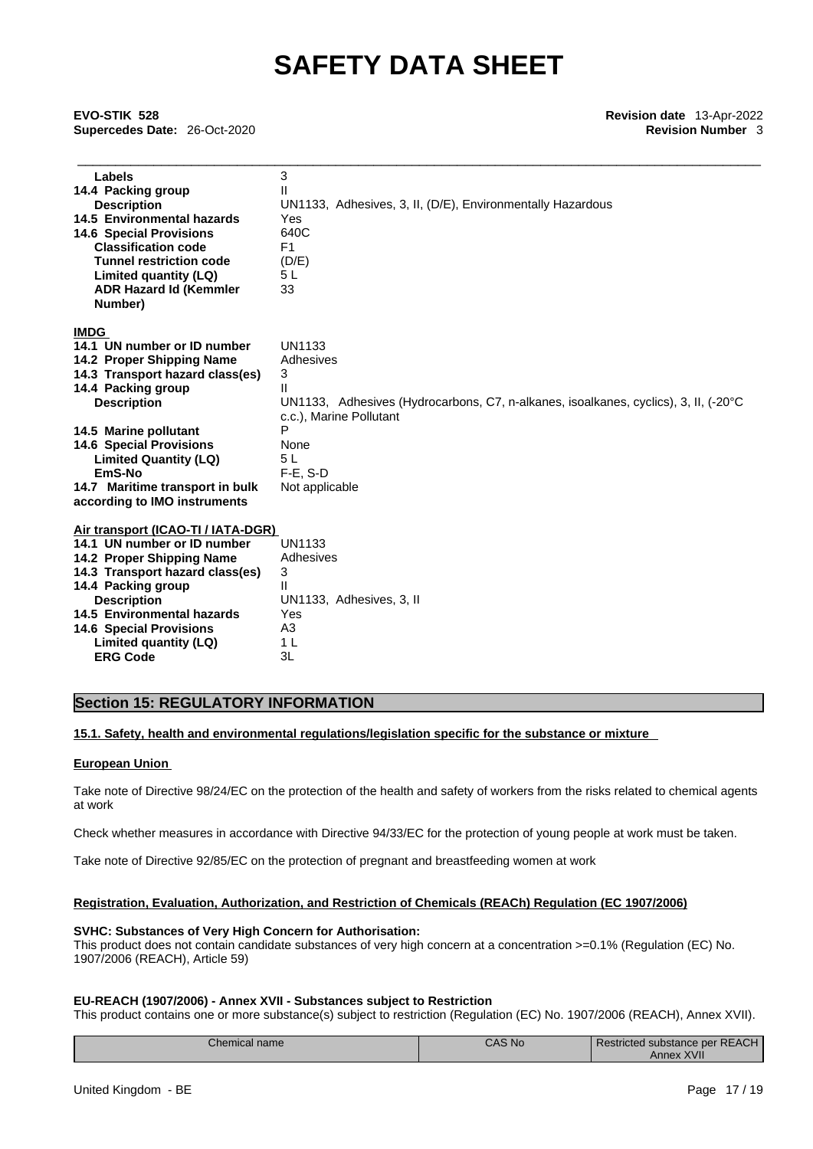\_\_\_\_\_\_\_\_\_\_\_\_\_\_\_\_\_\_\_\_\_\_\_\_\_\_\_\_\_\_\_\_\_\_\_\_\_\_\_\_\_\_\_\_\_\_\_\_\_\_\_\_\_\_\_\_\_\_\_\_\_\_\_\_\_\_\_\_\_\_\_\_\_\_\_\_\_\_\_\_\_\_\_\_\_\_\_\_\_\_ **EVO-STIK 528 Revision date** 13-Apr-2022 **Supercedes Date:** 26-Oct-2020 **Revision Number** 3

| Labels                             | 3                                                                                   |
|------------------------------------|-------------------------------------------------------------------------------------|
| 14.4 Packing group                 |                                                                                     |
| <b>Description</b>                 | UN1133, Adhesives, 3, II, (D/E), Environmentally Hazardous                          |
| 14.5 Environmental hazards         | Yes                                                                                 |
| <b>14.6 Special Provisions</b>     | 640C                                                                                |
| <b>Classification code</b>         | F <sub>1</sub>                                                                      |
| <b>Tunnel restriction code</b>     | (D/E)                                                                               |
| Limited quantity (LQ)              | 5 L                                                                                 |
| <b>ADR Hazard Id (Kemmler</b>      | 33                                                                                  |
| Number)                            |                                                                                     |
| <b>IMDG</b>                        |                                                                                     |
| 14.1 UN number or ID number        | UN1133                                                                              |
| 14.2 Proper Shipping Name          | Adhesives                                                                           |
| 14.3 Transport hazard class(es)    | 3                                                                                   |
| 14.4 Packing group                 | Ш                                                                                   |
| <b>Description</b>                 | UN1133, Adhesives (Hydrocarbons, C7, n-alkanes, isoalkanes, cyclics), 3, II, (-20°C |
|                                    | c.c.), Marine Pollutant                                                             |
| 14.5 Marine pollutant              | P                                                                                   |
| <b>14.6 Special Provisions</b>     | None                                                                                |
| <b>Limited Quantity (LQ)</b>       | 5 L                                                                                 |
| EmS-No                             | $F-E. S-D$                                                                          |
| 14.7 Maritime transport in bulk    | Not applicable                                                                      |
| according to IMO instruments       |                                                                                     |
| Air transport (ICAO-TI / IATA-DGR) |                                                                                     |
| 14.1 UN number or ID number        | UN1133                                                                              |
| 14.2 Proper Shipping Name          | Adhesives                                                                           |
| 14.3 Transport hazard class(es)    | 3                                                                                   |
| 14.4 Packing group                 | Ш                                                                                   |
| <b>Description</b>                 | UN1133, Adhesives, 3, II                                                            |
| 14.5 Environmental hazards         | Yes                                                                                 |
| <b>14.6 Special Provisions</b>     | A3                                                                                  |
| Limited quantity (LQ)              | 1 L                                                                                 |
| <b>ERG Code</b>                    | 3L                                                                                  |

## **Section 15: REGULATORY INFORMATION**

### **15.1. Safety, health and environmental regulations/legislation specific for the substance or mixture**

#### **European Union**

**ERG Code** 

Take note of Directive 98/24/EC on the protection of the health and safety of workers from the risks related to chemical agents at work

Check whether measures in accordance with Directive 94/33/EC for the protection of young people at work must be taken.

Take note of Directive 92/85/EC on the protection of pregnant and breastfeeding women at work

### **Registration, Evaluation, Authorization, and Restriction of Chemicals (REACh) Regulation (EC 1907/2006)**

#### **SVHC: Substances of Very High Concern for Authorisation:**

This product does not contain candidate substances of very high concern at a concentration >=0.1% (Regulation (EC) No. 1907/2006 (REACH), Article 59)

### **EU-REACH (1907/2006) - Annex XVII - Substances subject to Restriction**

This product contains one or more substance(s) subject to restriction (Regulation (EC) No. 1907/2006 (REACH), Annex XVII).

| <i>Chemical name</i> | <b>CAS No.</b> | Restricted substance per REACH |  |
|----------------------|----------------|--------------------------------|--|
|                      |                | <b>XVII</b><br>Annex           |  |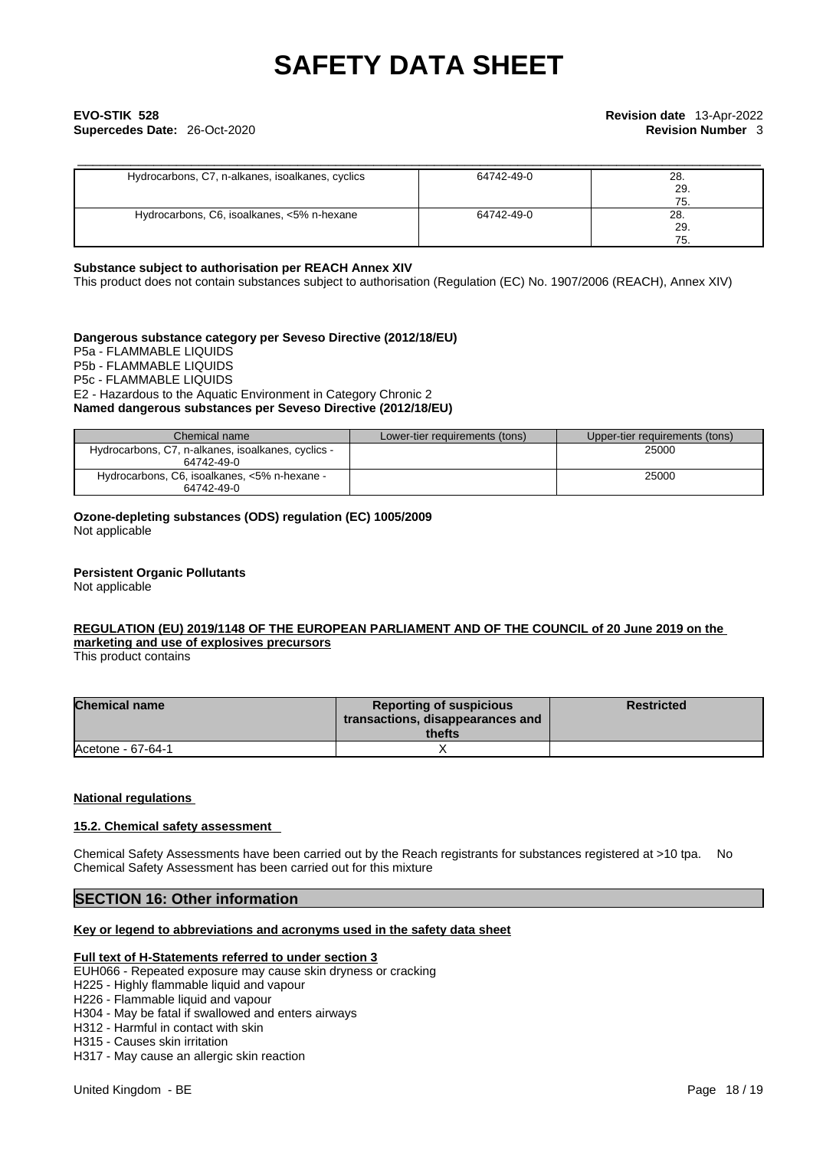# \_\_\_\_\_\_\_\_\_\_\_\_\_\_\_\_\_\_\_\_\_\_\_\_\_\_\_\_\_\_\_\_\_\_\_\_\_\_\_\_\_\_\_\_\_\_\_\_\_\_\_\_\_\_\_\_\_\_\_\_\_\_\_\_\_\_\_\_\_\_\_\_\_\_\_\_\_\_\_\_\_\_\_\_\_\_\_\_\_\_ **EVO-STIK 528 Revision date** 13-Apr-2022 **Supercedes Date:** 26-Oct-2020 **Revision Number** 3

| Hydrocarbons, C7, n-alkanes, isoalkanes, cyclics | 64742-49-0 | 28.<br>29.<br>75. |
|--------------------------------------------------|------------|-------------------|
| Hydrocarbons, C6, isoalkanes, <5% n-hexane       | 64742-49-0 | 28.<br>29.<br>75. |

#### **Substance subject to authorisation per REACH Annex XIV**

This product does not contain substances subject to authorisation (Regulation (EC) No. 1907/2006 (REACH), Annex XIV)

### **Dangerous substance category per Seveso Directive (2012/18/EU)**

P5a - FLAMMABLE LIQUIDS P5b - FLAMMABLE LIQUIDS P5c - FLAMMABLE LIQUIDS E2 - Hazardous to the Aquatic Environment in Category Chronic 2 **Named dangerous substances per Seveso Directive (2012/18/EU)**

| Chemical name                                                    | Lower-tier requirements (tons) | Upper-tier requirements (tons) |
|------------------------------------------------------------------|--------------------------------|--------------------------------|
| Hydrocarbons, C7, n-alkanes, isoalkanes, cyclics -<br>64742-49-0 |                                | 25000                          |
| Hydrocarbons, C6, isoalkanes, <5% n-hexane -<br>64742-49-0       |                                | 25000                          |

**Ozone-depleting substances (ODS) regulation (EC) 1005/2009**

Not applicable

#### **Persistent Organic Pollutants**

Not applicable

### **REGULATION (EU) 2019/1148 OF THE EUROPEAN PARLIAMENT AND OF THE COUNCIL of 20 June 2019 on the marketing and use ofexplosives precursors**

This product contains

| <b>Chemical name</b> | <b>Reporting of suspicious</b><br>transactions, disappearances and<br>thefts | <b>Restricted</b> |
|----------------------|------------------------------------------------------------------------------|-------------------|
| Acetone - 67-64-1    |                                                                              |                   |

### **National regulations**

#### **15.2. Chemical safety assessment**

Chemical Safety Assessments have been carried out by the Reach registrants for substances registered at >10 tpa. No Chemical Safety Assessment has been carried out for this mixture

## **SECTION 16: Other information**

#### **Key or legend to abbreviations and acronyms used in the safety data sheet**

#### **Full text of H-Statements referred to under section 3**

- EUH066 Repeated exposure may cause skin dryness or cracking
- H225 Highly flammable liquid and vapour
- H226 Flammable liquid and vapour
- H304 May be fatal if swallowed and enters airways
- H312 Harmful in contact with skin

H315 - Causes skin irritation

H317 - May cause an allergic skin reaction